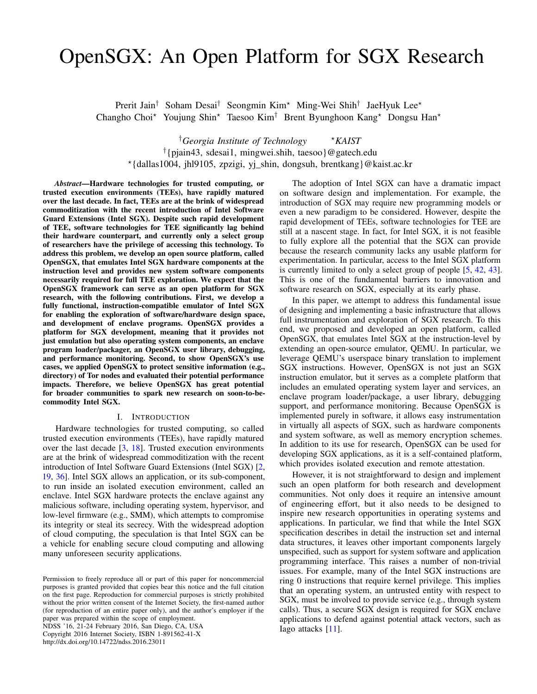# OpenSGX: An Open Platform for SGX Research

Prerit Jain<sup>†</sup> Soham Desai<sup>†</sup> Seongmin Kim<sup>\*</sup> Ming-Wei Shih<sup>†</sup> JaeHyuk Lee<sup>\*</sup> Changho Choi<sup>★</sup> Youjung Shin<sup>★</sup> Taesoo Kim<sup>†</sup> Brent Byunghoon Kang<sup>★</sup> Dongsu Han<sup>★</sup>

<sup>†</sup>Georgia Institute of Technology  $*$ *KAIST* † {pjain43, sdesai1, mingwei.shih, taesoo}@gatech.edu ⋆ {dallas1004, jhl9105, zpzigi, yj\_shin, dongsuh, brentkang}@kaist.ac.kr

*Abstract*—Hardware technologies for trusted computing, or trusted execution environments (TEEs), have rapidly matured over the last decade. In fact, TEEs are at the brink of widespread commoditization with the recent introduction of Intel Software Guard Extensions (Intel SGX). Despite such rapid development of TEE, software technologies for TEE significantly lag behind their hardware counterpart, and currently only a select group of researchers have the privilege of accessing this technology. To address this problem, we develop an open source platform, called OpenSGX, that emulates Intel SGX hardware components at the instruction level and provides new system software components necessarily required for full TEE exploration. We expect that the OpenSGX framework can serve as an open platform for SGX research, with the following contributions. First, we develop a fully functional, instruction-compatible emulator of Intel SGX for enabling the exploration of software/hardware design space, and development of enclave programs. OpenSGX provides a platform for SGX development, meaning that it provides not just emulation but also operating system components, an enclave program loader/packager, an OpenSGX user library, debugging, and performance monitoring. Second, to show OpenSGX's use cases, we applied OpenSGX to protect sensitive information (e.g., directory) of Tor nodes and evaluated their potential performance impacts. Therefore, we believe OpenSGX has great potential for broader communities to spark new research on soon-to-becommodity Intel SGX.

#### I. INTRODUCTION

Hardware technologies for trusted computing, so called trusted execution environments (TEEs), have rapidly matured over the last decade  $[3, 18]$  $[3, 18]$  $[3, 18]$ . Trusted execution environments are at the brink of widespread commoditization with the recent introduction of Intel Software Guard Extensions (Intel SGX) [\[2,](#page-14-1) [19,](#page-15-1) [36\]](#page-15-2). Intel SGX allows an application, or its sub-component, to run inside an isolated execution environment, called an enclave. Intel SGX hardware protects the enclave against any malicious software, including operating system, hypervisor, and low-level firmware (e.g., SMM), which attempts to compromise its integrity or steal its secrecy. With the widespread adoption of cloud computing, the speculation is that Intel SGX can be a vehicle for enabling secure cloud computing and allowing many unforeseen security applications.

NDSS '16, 21-24 February 2016, San Diego, CA, USA Copyright 2016 Internet Society, ISBN 1-891562-41-X http://dx.doi.org/10.14722/ndss.2016.23011

The adoption of Intel SGX can have a dramatic impact on software design and implementation. For example, the introduction of SGX may require new programming models or even a new paradigm to be considered. However, despite the rapid development of TEEs, software technologies for TEE are still at a nascent stage. In fact, for Intel SGX, it is not feasible to fully explore all the potential that the SGX can provide because the research community lacks any usable platform for experimentation. In particular, access to the Intel SGX platform is currently limited to only a select group of people [\[5,](#page-14-2) [42,](#page-15-3) [43\]](#page-15-4). This is one of the fundamental barriers to innovation and software research on SGX, especially at its early phase.

In this paper, we attempt to address this fundamental issue of designing and implementing a basic infrastructure that allows full instrumentation and exploration of SGX research. To this end, we proposed and developed an open platform, called OpenSGX, that emulates Intel SGX at the instruction-level by extending an open-source emulator, QEMU. In particular, we leverage QEMU's userspace binary translation to implement SGX instructions. However, OpenSGX is not just an SGX instruction emulator, but it serves as a complete platform that includes an emulated operating system layer and services, an enclave program loader/package, a user library, debugging support, and performance monitoring. Because OpenSGX is implemented purely in software, it allows easy instrumentation in virtually all aspects of SGX, such as hardware components and system software, as well as memory encryption schemes. In addition to its use for research, OpenSGX can be used for developing SGX applications, as it is a self-contained platform, which provides isolated execution and remote attestation.

However, it is not straightforward to design and implement such an open platform for both research and development communities. Not only does it require an intensive amount of engineering effort, but it also needs to be designed to inspire new research opportunities in operating systems and applications. In particular, we find that while the Intel SGX specification describes in detail the instruction set and internal data structures, it leaves other important components largely unspecified, such as support for system software and application programming interface. This raises a number of non-trivial issues. For example, many of the Intel SGX instructions are ring 0 instructions that require kernel privilege. This implies that an operating system, an untrusted entity with respect to SGX, must be involved to provide service (e.g., through system calls). Thus, a secure SGX design is required for SGX enclave applications to defend against potential attack vectors, such as Iago attacks [\[11\]](#page-15-5).

Permission to freely reproduce all or part of this paper for noncommercial purposes is granted provided that copies bear this notice and the full citation on the first page. Reproduction for commercial purposes is strictly prohibited without the prior written consent of the Internet Society, the first-named author (for reproduction of an entire paper only), and the author's employer if the paper was prepared within the scope of employment.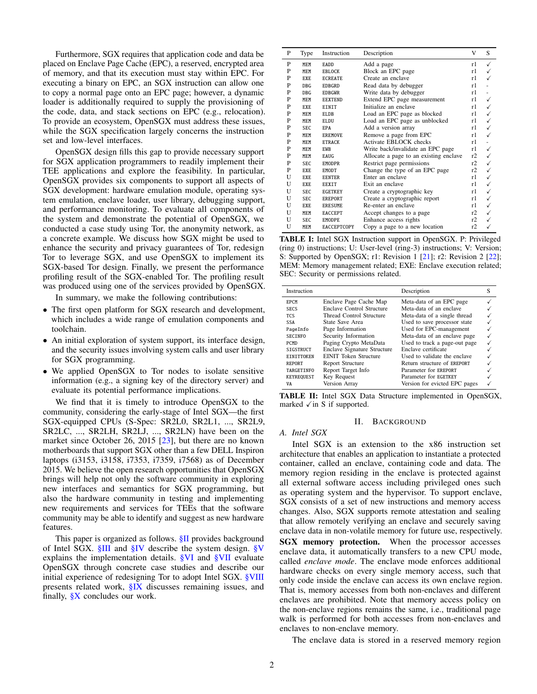Furthermore, SGX requires that application code and data be placed on Enclave Page Cache (EPC), a reserved, encrypted area of memory, and that its execution must stay within EPC. For executing a binary on EPC, an SGX instruction can allow one to copy a normal page onto an EPC page; however, a dynamic loader is additionally required to supply the provisioning of the code, data, and stack sections on EPC (e.g., relocation). To provide an ecosystem, OpenSGX must address these issues, while the SGX specification largely concerns the instruction set and low-level interfaces.

OpenSGX design fills this gap to provide necessary support for SGX application programmers to readily implement their TEE applications and explore the feasibility. In particular, OpenSGX provides six components to support all aspects of SGX development: hardware emulation module, operating system emulation, enclave loader, user library, debugging support, and performance monitoring. To evaluate all components of the system and demonstrate the potential of OpenSGX, we conducted a case study using Tor, the anonymity network, as a concrete example. We discuss how SGX might be used to enhance the security and privacy guarantees of Tor, redesign Tor to leverage SGX, and use OpenSGX to implement its SGX-based Tor design. Finally, we present the performance profiling result of the SGX-enabled Tor. The profiling result was produced using one of the services provided by OpenSGX.

In summary, we make the following contributions:

- The first open platform for SGX research and development, which includes a wide range of emulation components and toolchain.
- An initial exploration of system support, its interface design, and the security issues involving system calls and user library for SGX programming.
- We applied OpenSGX to Tor nodes to isolate sensitive information (e.g., a signing key of the directory server) and evaluate its potential performance implications.

We find that it is timely to introduce OpenSGX to the community, considering the early-stage of Intel SGX—the first SGX-equipped CPUs (S-Spec: SR2L0, SR2L1, ..., SR2L9, SR2LC, ..., SR2LH, SR2LJ, ..., SR2LN) have been on the market since October 26, 2015 [\[23\]](#page-15-6), but there are no known motherboards that support SGX other than a few DELL Inspiron laptops (i3153, i3158, i7353, i7359, i7568) as of December 2015. We believe the open research opportunities that OpenSGX brings will help not only the software community in exploring new interfaces and semantics for SGX programming, but also the hardware community in testing and implementing new requirements and services for TEEs that the software community may be able to identify and suggest as new hardware features.

This paper is organized as follows. **[§II](#page-1-0)** provides background of Intel SGX. [§III](#page-2-0) and [§IV](#page-3-0) describe the system design. [§V](#page-9-0) explains the implementation details. [§VI](#page-9-1) and [§VII](#page-11-0) evaluate OpenSGX through concrete case studies and describe our initial experience of redesigning Tor to adopt Intel SGX. [§VIII](#page-13-0) presents related work, [§IX](#page-14-3) discusses remaining issues, and finally,  $X \subseteq X$  concludes our work.

<span id="page-1-1"></span>

| P | Type       | Instruction        | Description                            | v  | S |
|---|------------|--------------------|----------------------------------------|----|---|
| P | <b>MEM</b> | <b>EADD</b>        | Add a page                             | r1 | ✓ |
| P | <b>MEM</b> | <b>EBLOCK</b>      | Block an EPC page                      | r1 |   |
| P | <b>EXE</b> | <b>ECREATE</b>     | Create an enclave                      | r1 |   |
| P | <b>DBG</b> | <b>EDBGRD</b>      | Read data by debugger                  | r1 |   |
| P | <b>DBG</b> | <b>EDBGWR</b>      | Write data by debugger                 | r1 |   |
| P | MEM        | <b>EEXTEND</b>     | Extend EPC page measurement            | r1 |   |
| P | <b>EXE</b> | EINIT              | Initialize an enclave                  | r1 |   |
| P | MEM        | <b>ELDB</b>        | Load an EPC page as blocked            | r1 |   |
| P | MEM        | <b>ELDU</b>        | Load an EPC page as unblocked          | r1 |   |
| P | <b>SEC</b> | <b>EPA</b>         | Add a version array                    | r1 |   |
| P | <b>MEM</b> | <b>EREMOVE</b>     | Remove a page from EPC                 | r1 |   |
| P | MEM        | <b>ETRACK</b>      | <b>Activate EBLOCK</b> checks          | r1 |   |
| P | MEM        | <b>EWB</b>         | Write back/invalidate an EPC page      | r1 |   |
| P | MEM        | <b>EAUG</b>        | Allocate a page to an existing enclave | r2 |   |
| P | <b>SEC</b> | <b>EMODPR</b>      | Restrict page permissions              | r2 |   |
| P | <b>EXE</b> | <b>EMODT</b>       | Change the type of an EPC page         | r2 |   |
| U | EXE.       | <b>EENTER</b>      | Enter an enclave                       | r1 |   |
| U | <b>EXE</b> | <b>EEXIT</b>       | Exit an enclave                        | r1 |   |
| U | <b>SEC</b> | <b>EGETKEY</b>     | Create a cryptographic key             | r1 |   |
| U | <b>SEC</b> | <b>EREPORT</b>     | Create a cryptographic report          | r1 |   |
| U | <b>EXE</b> | <b>ERESUME</b>     | Re-enter an enclave                    | r1 |   |
| U | MEM        | <b>EACCEPT</b>     | Accept changes to a page               | r2 |   |
| U | <b>SEC</b> | <b>EMODPE</b>      | Enhance access rights                  | r2 |   |
| U | MEM        | <b>EACCEPTCOPY</b> | Copy a page to a new location          | r2 |   |

TABLE I: Intel SGX Instruction support in OpenSGX. P: Privileged (ring 0) instructions; U: User-level (ring-3) instructions; V: Version; S: Supported by OpenSGX; r1: Revision 1 [\[21\]](#page-15-7); r2: Revision 2 [\[22\]](#page-15-8); MEM: Memory management related; EXE: Enclave execution related; SEC: Security or permissions related.

<span id="page-1-2"></span>

| Instruction       |                                    | Description                   | S |
|-------------------|------------------------------------|-------------------------------|---|
| <b>EPCM</b>       | Enclave Page Cache Map             | Meta-data of an EPC page      |   |
| <b>SECS</b>       | <b>Enclave Control Structure</b>   | Meta-data of an enclave       |   |
| <b>TCS</b>        | Thread Control Structure           | Meta-data of a single thread  |   |
| <b>SSA</b>        | State Save Area                    | Used to save processor state  |   |
| PageInfo          | Page Information                   | Used for EPC-management       |   |
| <b>SECTNEO</b>    | Security Information               | Meta-data of an enclave page  |   |
| <b>PCMD</b>       | Paging Crypto MetaData             | Used to track a page-out page |   |
| SIGSTRUCT         | <b>Enclave Signature Structure</b> | Enclave certificate           |   |
| <b>EINITTOKEN</b> | <b>EINIT Token Structure</b>       | Used to validate the enclave  |   |
| <b>REPORT</b>     | Report Structure                   | Return structure of EREPORT   |   |
| <b>TARGETINFO</b> | Report Target Info                 | Parameter for EREPORT         |   |
| <b>KEYREQUEST</b> | Key Request                        | Parameter for EGETKEY         |   |
| VA                | Version Array                      | Version for evicted EPC pages |   |

TABLE II: Intel SGX Data Structure implemented in OpenSGX, marked  $\sqrt{in}$  S if supported.

#### II. BACKGROUND

# <span id="page-1-0"></span>*A. Intel SGX*

Intel SGX is an extension to the x86 instruction set architecture that enables an application to instantiate a protected container, called an enclave, containing code and data. The memory region residing in the enclave is protected against all external software access including privileged ones such as operating system and the hypervisor. To support enclave, SGX consists of a set of new instructions and memory access changes. Also, SGX supports remote attestation and sealing that allow remotely verifying an enclave and securely saving enclave data in non-volatile memory for future use, respectively.

SGX memory protection. When the processor accesses enclave data, it automatically transfers to a new CPU mode, called *enclave mode*. The enclave mode enforces additional hardware checks on every single memory access, such that only code inside the enclave can access its own enclave region. That is, memory accesses from both non-enclaves and different enclaves are prohibited. Note that memory access policy on the non-enclave regions remains the same, i.e., traditional page walk is performed for both accesses from non-enclaves and enclaves to non-enclave memory.

The enclave data is stored in a reserved memory region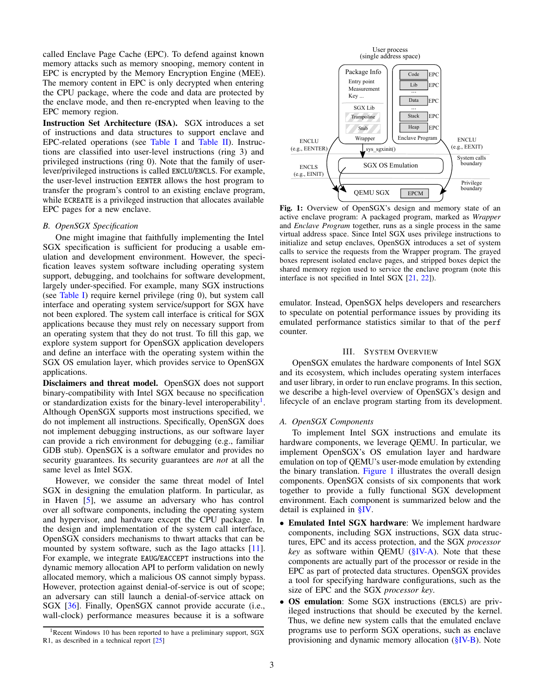called Enclave Page Cache (EPC). To defend against known memory attacks such as memory snooping, memory content in EPC is encrypted by the Memory Encryption Engine (MEE). The memory content in EPC is only decrypted when entering the CPU package, where the code and data are protected by the enclave mode, and then re-encrypted when leaving to the EPC memory region.

Instruction Set Architecture (ISA). SGX introduces a set of instructions and data structures to support enclave and EPC-related operations (see [Table I](#page-1-1) and [Table II\)](#page-1-2). Instructions are classified into user-level instructions (ring 3) and privileged instructions (ring 0). Note that the family of userlever/privileged instructions is called ENCLU/ENCLS. For example, the user-level instruction EENTER allows the host program to transfer the program's control to an existing enclave program, while ECREATE is a privileged instruction that allocates available EPC pages for a new enclave.

## *B. OpenSGX Specification*

One might imagine that faithfully implementing the Intel SGX specification is sufficient for producing a usable emulation and development environment. However, the specification leaves system software including operating system support, debugging, and toolchains for software development, largely under-specified. For example, many SGX instructions (see [Table I\)](#page-1-1) require kernel privilege (ring 0), but system call interface and operating system service/support for SGX have not been explored. The system call interface is critical for SGX applications because they must rely on necessary support from an operating system that they do not trust. To fill this gap, we explore system support for OpenSGX application developers and define an interface with the operating system within the SGX OS emulation layer, which provides service to OpenSGX applications.

Disclaimers and threat model. OpenSGX does not support binary-compatibility with Intel SGX because no specification or standardization exists for the binary-level interoperability<sup>[1](#page-2-1)</sup>. Although OpenSGX supports most instructions specified, we do not implement all instructions. Specifically, OpenSGX does not implement debugging instructions, as our software layer can provide a rich environment for debugging (e.g., familiar GDB stub). OpenSGX is a software emulator and provides no security guarantees. Its security guarantees are *not* at all the same level as Intel SGX.

However, we consider the same threat model of Intel SGX in designing the emulation platform. In particular, as in Haven [\[5\]](#page-14-2), we assume an adversary who has control over all software components, including the operating system and hypervisor, and hardware except the CPU package. In the design and implementation of the system call interface, OpenSGX considers mechanisms to thwart attacks that can be mounted by system software, such as the Iago attacks [\[11\]](#page-15-5). For example, we integrate EAUG/EACCEPT instructions into the dynamic memory allocation API to perform validation on newly allocated memory, which a malicious OS cannot simply bypass. However, protection against denial-of-service is out of scope; an adversary can still launch a denial-of-service attack on SGX [\[36\]](#page-15-2). Finally, OpenSGX cannot provide accurate (i.e., wall-clock) performance measures because it is a software

<span id="page-2-2"></span>

Fig. 1: Overview of OpenSGX's design and memory state of an active enclave program: A packaged program, marked as *Wrapper* and *Enclave Program* together, runs as a single process in the same virtual address space. Since Intel SGX uses privilege instructions to initialize and setup enclaves, OpenSGX introduces a set of system calls to service the requests from the Wrapper program. The grayed boxes represent isolated enclave pages, and stripped boxes depict the shared memory region used to service the enclave program (note this interface is not specified in Intel SGX [\[21,](#page-15-7) [22\]](#page-15-8)).

emulator. Instead, OpenSGX helps developers and researchers to speculate on potential performance issues by providing its emulated performance statistics similar to that of the perf counter.

# III. SYSTEM OVERVIEW

<span id="page-2-0"></span>OpenSGX emulates the hardware components of Intel SGX and its ecosystem, which includes operating system interfaces and user library, in order to run enclave programs. In this section, we describe a high-level overview of OpenSGX's design and lifecycle of an enclave program starting from its development.

## *A. OpenSGX Components*

To implement Intel SGX instructions and emulate its hardware components, we leverage QEMU. In particular, we implement OpenSGX's OS emulation layer and hardware emulation on top of QEMU's user-mode emulation by extending the binary translation. [Figure 1](#page-2-2) illustrates the overall design components. OpenSGX consists of six components that work together to provide a fully functional SGX development environment. Each component is summarized below and the detail is explained in [§IV.](#page-3-0)

- Emulated Intel SGX hardware: We implement hardware components, including SGX instructions, SGX data structures, EPC and its access protection, and the SGX *processor key* as software within QEMU [\(§IV-A\)](#page-3-1). Note that these components are actually part of the processor or reside in the EPC as part of protected data structures. OpenSGX provides a tool for specifying hardware configurations, such as the size of EPC and the SGX *processor key*.
- OS emulation: Some SGX instructions (ENCLS) are privileged instructions that should be executed by the kernel. Thus, we define new system calls that the emulated enclave programs use to perform SGX operations, such as enclave provisioning and dynamic memory allocation [\(§IV-B\)](#page-5-0). Note

<span id="page-2-1"></span> $1$ Recent Windows 10 has been reported to have a preliminary support, SGX R1, as described in a technical report [\[25\]](#page-15-9)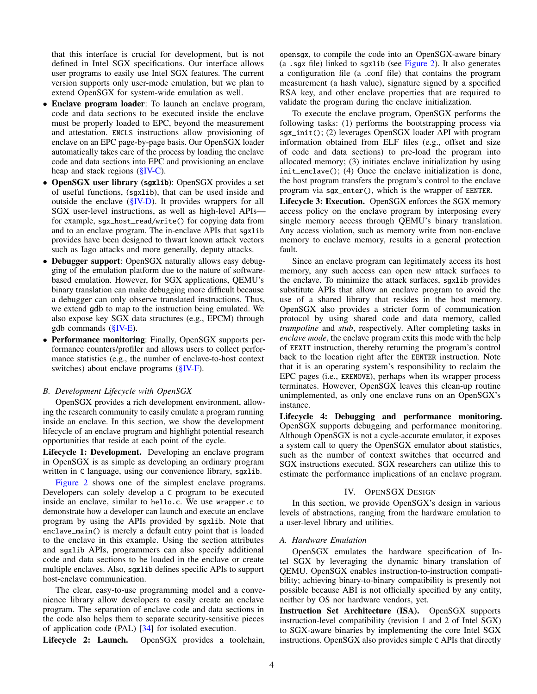that this interface is crucial for development, but is not defined in Intel SGX specifications. Our interface allows user programs to easily use Intel SGX features. The current version supports only user-mode emulation, but we plan to extend OpenSGX for system-wide emulation as well.

- Enclave program loader: To launch an enclave program, code and data sections to be executed inside the enclave must be properly loaded to EPC, beyond the measurement and attestation. ENCLS instructions allow provisioning of enclave on an EPC page-by-page basis. Our OpenSGX loader automatically takes care of the process by loading the enclave code and data sections into EPC and provisioning an enclave heap and stack regions [\(§IV-C\)](#page-6-0).
- OpenSGX user library (sgxlib): OpenSGX provides a set of useful functions, (sgxlib), that can be used inside and outside the enclave [\(§IV-D\)](#page-6-1). It provides wrappers for all SGX user-level instructions, as well as high-level APIs for example, sgx\_host\_read/write() for copying data from and to an enclave program. The in-enclave APIs that sgxlib provides have been designed to thwart known attack vectors such as Iago attacks and more generally, deputy attacks.
- Debugger support: OpenSGX naturally allows easy debugging of the emulation platform due to the nature of softwarebased emulation. However, for SGX applications, QEMU's binary translation can make debugging more difficult because a debugger can only observe translated instructions. Thus, we extend gdb to map to the instruction being emulated. We also expose key SGX data structures (e.g., EPCM) through gdb commands [\(§IV-E\)](#page-8-0).
- Performance monitoring: Finally, OpenSGX supports performance counters/profiler and allows users to collect performance statistics (e.g., the number of enclave-to-host context switches) about enclave programs  $(\S$ <sup>IV-F</sup>).

# *B. Development Lifecycle with OpenSGX*

OpenSGX provides a rich development environment, allowing the research community to easily emulate a program running inside an enclave. In this section, we show the development lifecycle of an enclave program and highlight potential research opportunities that reside at each point of the cycle.

Lifecycle 1: Development. Developing an enclave program in OpenSGX is as simple as developing an ordinary program written in C language, using our convenience library, sgxlib.

[Figure 2](#page-4-0) shows one of the simplest enclave programs. Developers can solely develop a C program to be executed inside an enclave, similar to hello.c. We use wrapper.c to demonstrate how a developer can launch and execute an enclave program by using the APIs provided by sgxlib. Note that enclave\_main() is merely a default entry point that is loaded to the enclave in this example. Using the section attributes and sgxlib APIs, programmers can also specify additional code and data sections to be loaded in the enclave or create multiple enclaves. Also, sgxlib defines specific APIs to support host-enclave communication.

The clear, easy-to-use programming model and a convenience library allow developers to easily create an enclave program. The separation of enclave code and data sections in the code also helps them to separate security-sensitive pieces of application code (PAL) [\[34\]](#page-15-10) for isolated execution.

Lifecycle 2: Launch. OpenSGX provides a toolchain,

opensgx, to compile the code into an OpenSGX-aware binary (a .sgx file) linked to sgxlib (see [Figure 2\)](#page-4-0). It also generates a configuration file (a .conf file) that contains the program measurement (a hash value), signature signed by a specified RSA key, and other enclave properties that are required to validate the program during the enclave initialization.

To execute the enclave program, OpenSGX performs the following tasks: (1) performs the bootstrapping process via sgx\_init(); (2) leverages OpenSGX loader API with program information obtained from ELF files (e.g., offset and size of code and data sections) to pre-load the program into allocated memory; (3) initiates enclave initialization by using init\_enclave(); (4) Once the enclave initialization is done, the host program transfers the program's control to the enclave program via sgx\_enter(), which is the wrapper of EENTER.

Lifecycle 3: Execution. OpenSGX enforces the SGX memory access policy on the enclave program by interposing every single memory access through QEMU's binary translation. Any access violation, such as memory write from non-enclave memory to enclave memory, results in a general protection fault.

Since an enclave program can legitimately access its host memory, any such access can open new attack surfaces to the enclave. To minimize the attack surfaces, sgxlib provides substitute APIs that allow an enclave program to avoid the use of a shared library that resides in the host memory. OpenSGX also provides a stricter form of communication protocol by using shared code and data memory, called *trampoline* and *stub*, respectively. After completing tasks in *enclave mode*, the enclave program exits this mode with the help of EEXIT instruction, thereby returning the program's control back to the location right after the EENTER instruction. Note that it is an operating system's responsibility to reclaim the EPC pages (i.e., EREMOVE), perhaps when its wrapper process terminates. However, OpenSGX leaves this clean-up routine unimplemented, as only one enclave runs on an OpenSGX's instance.

Lifecycle 4: Debugging and performance monitoring. OpenSGX supports debugging and performance monitoring. Although OpenSGX is not a cycle-accurate emulator, it exposes a system call to query the OpenSGX emulator about statistics, such as the number of context switches that occurred and SGX instructions executed. SGX researchers can utilize this to estimate the performance implications of an enclave program.

# IV. OPENSGX DESIGN

<span id="page-3-0"></span>In this section, we provide OpenSGX's design in various levels of abstractions, ranging from the hardware emulation to a user-level library and utilities.

### <span id="page-3-1"></span>*A. Hardware Emulation*

OpenSGX emulates the hardware specification of Intel SGX by leveraging the dynamic binary translation of QEMU. OpenSGX enables instruction-to-instruction compatibility; achieving binary-to-binary compatibility is presently not possible because ABI is not officially specified by any entity, neither by OS nor hardware vendors, yet.

Instruction Set Architecture (ISA). OpenSGX supports instruction-level compatibility (revision 1 and 2 of Intel SGX) to SGX-aware binaries by implementing the core Intel SGX instructions. OpenSGX also provides simple C APIs that directly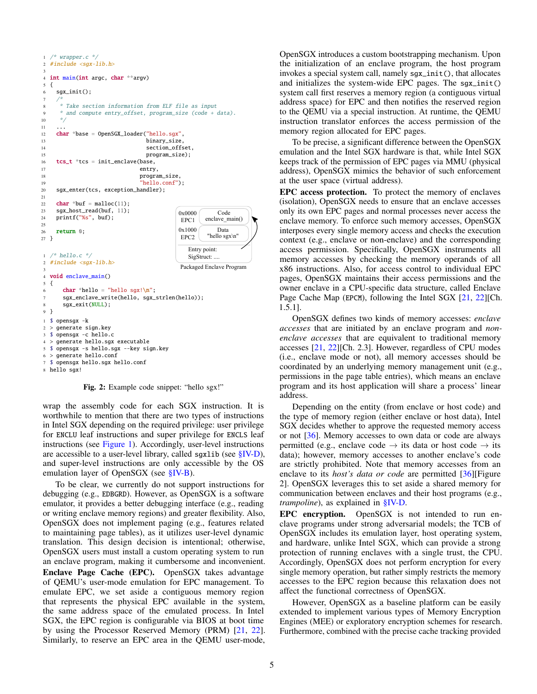```
0x0000
                                                enclave_main()
                                                   Code
                                        EPC1
                                                   Data
                                        EPC2
                                        0x1000
                                                "hello sgx\n"
                                          Entry point: 
                                          SigStruct: ....
                                        Packaged Enclave Program
  /* wrapper.c */2 #include < <sqx-lib.h>
 3
4 int main(int argc, char **argv)
5 {
    sgx_init();
 7 /*
      8 * Take section information from ELF file as input
      9 * and compute entry_offset, program_size (code + data).
10 *1112 char *base = OpenSGX_loader("hello.sgx",
13 binary_size,<br>14 binary_size,
                              section offset.
15 program_size);
16 \text{tcs}_t *tcs = init_enclave(base,
17 entry,
18 program_size,
19 "hello.conf");
20 sgx_enter(tcs, exception_handler);
21
22 char *buf = malloc(11);
23 sgx_host_read(buf, 11);
24 printf("%s", buf);
2526 return 0;
27 }
1 /* hello.c */
2 #include <<sqx-lib.h>
3
4 void enclave_main()
5 {
6 char *hello = "hello sgx!\n\frac{n}{;
      7 sgx_enclave_write(hello, sgx_strlen(hello));
8 sgx_exit(NULL);
9 }
1 $ opensgx -k
2 > generate sign.key
3 $ opensgx -c hello.c
4 > generate hello.sgx executable
5 $ opensgx -s hello.sgx --key sign.key
6 > generate hello.conf
  $ opensgx hello.sgx hello.conf
8 hello sgx!
```
Fig. 2: Example code snippet: "hello sgx!"

wrap the assembly code for each SGX instruction. It is worthwhile to mention that there are two types of instructions in Intel SGX depending on the required privilege: user privilege for ENCLU leaf instructions and super privilege for ENCLS leaf instructions (see [Figure 1\)](#page-2-2). Accordingly, user-level instructions are accessible to a user-level library, called sgxlib (see [§IV-D\)](#page-6-1), and super-level instructions are only accessible by the OS emulation layer of OpenSGX (see [§IV-B\)](#page-5-0).

To be clear, we currently do not support instructions for debugging (e.g., EDBGRD). However, as OpenSGX is a software emulator, it provides a better debugging interface (e.g., reading or writing enclave memory regions) and greater flexibility. Also, OpenSGX does not implement paging (e.g., features related to maintaining page tables), as it utilizes user-level dynamic translation. This design decision is intentional; otherwise, OpenSGX users must install a custom operating system to run an enclave program, making it cumbersome and inconvenient. Enclave Page Cache (EPC). OpenSGX takes advantage of QEMU's user-mode emulation for EPC management. To emulate EPC, we set aside a contiguous memory region that represents the physical EPC available in the system, the same address space of the emulated process. In Intel SGX, the EPC region is configurable via BIOS at boot time by using the Processor Reserved Memory (PRM) [\[21,](#page-15-7) [22\]](#page-15-8). Similarly, to reserve an EPC area in the QEMU user-mode, OpenSGX introduces a custom bootstrapping mechanism. Upon the initialization of an enclave program, the host program invokes a special system call, namely sgx\_init(), that allocates and initializes the system-wide EPC pages. The sgx\_init() system call first reserves a memory region (a contiguous virtual address space) for EPC and then notifies the reserved region to the QEMU via a special instruction. At runtime, the QEMU instruction translator enforces the access permission of the memory region allocated for EPC pages.

To be precise, a significant difference between the OpenSGX emulation and the Intel SGX hardware is that, while Intel SGX keeps track of the permission of EPC pages via MMU (physical address), OpenSGX mimics the behavior of such enforcement at the user space (virtual address).

EPC access protection. To protect the memory of enclaves (isolation), OpenSGX needs to ensure that an enclave accesses only its own EPC pages and normal processes never access the enclave memory. To enforce such memory accesses, OpenSGX interposes every single memory access and checks the execution context (e.g., enclave or non-enclave) and the corresponding access permission. Specifically, OpenSGX instruments all memory accesses by checking the memory operands of all x86 instructions. Also, for access control to individual EPC pages, OpenSGX maintains their access permissions and the owner enclave in a CPU-specific data structure, called Enclave Page Cache Map (EPCM), following the Intel SGX [\[21,](#page-15-7) [22\]](#page-15-8)[Ch. 1.5.1].

OpenSGX defines two kinds of memory accesses: *enclave accesses* that are initiated by an enclave program and *nonenclave accesses* that are equivalent to traditional memory accesses [\[21,](#page-15-7) [22\]](#page-15-8)[Ch. 2.3]. However, regardless of CPU modes (i.e., enclave mode or not), all memory accesses should be coordinated by an underlying memory management unit (e.g., permissions in the page table entries), which means an enclave program and its host application will share a process' linear address.

Depending on the entity (from enclave or host code) and the type of memory region (either enclave or host data), Intel SGX decides whether to approve the requested memory access or not [\[36\]](#page-15-2). Memory accesses to own data or code are always permitted (e.g., enclave code  $\rightarrow$  its data or host code  $\rightarrow$  its data); however, memory accesses to another enclave's code are strictly prohibited. Note that memory accesses from an enclave to its *host's data or code* are permitted [\[36\]](#page-15-2)[Figure 2]. OpenSGX leverages this to set aside a shared memory for communication between enclaves and their host programs (e.g., *trampoline*), as explained in [§IV-D.](#page-6-1)

EPC encryption. OpenSGX is not intended to run enclave programs under strong adversarial models; the TCB of OpenSGX includes its emulation layer, host operating system, and hardware, unlike Intel SGX, which can provide a strong protection of running enclaves with a single trust, the CPU. Accordingly, OpenSGX does not perform encryption for every single memory operation, but rather simply restricts the memory accesses to the EPC region because this relaxation does not affect the functional correctness of OpenSGX.

However, OpenSGX as a baseline platform can be easily extended to implement various types of Memory Encryption Engines (MEE) or exploratory encryption schemes for research. Furthermore, combined with the precise cache tracking provided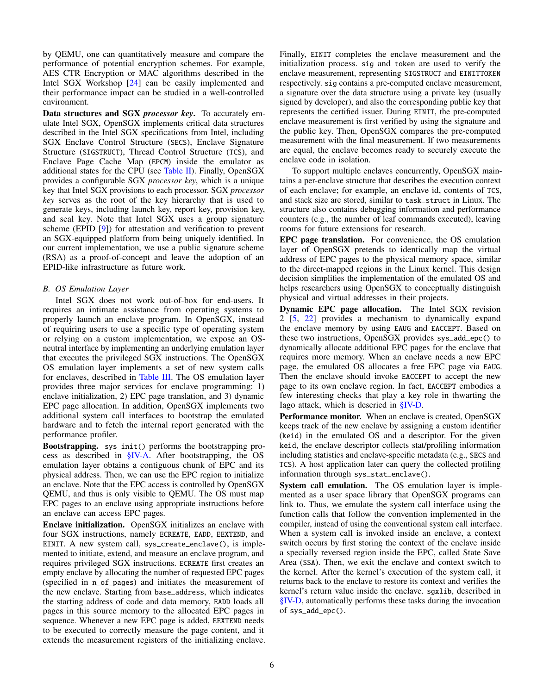by QEMU, one can quantitatively measure and compare the performance of potential encryption schemes. For example, AES CTR Encryption or MAC algorithms described in the Intel SGX Workshop [\[24\]](#page-15-11) can be easily implemented and their performance impact can be studied in a well-controlled environment.

Data structures and SGX *processor key*. To accurately emulate Intel SGX, OpenSGX implements critical data structures described in the Intel SGX specifications from Intel, including SGX Enclave Control Structure (SECS), Enclave Signature Structure (SIGSTRUCT), Thread Control Structure (TCS), and Enclave Page Cache Map (EPCM) inside the emulator as additional states for the CPU (see [Table II\)](#page-1-2). Finally, OpenSGX provides a configurable SGX *processor key*, which is a unique key that Intel SGX provisions to each processor. SGX *processor key* serves as the root of the key hierarchy that is used to generate keys, including launch key, report key, provision key, and seal key. Note that Intel SGX uses a group signature scheme (EPID [\[9\]](#page-15-12)) for attestation and verification to prevent an SGX-equipped platform from being uniquely identified. In our current implementation, we use a public signature scheme (RSA) as a proof-of-concept and leave the adoption of an EPID-like infrastructure as future work.

# <span id="page-5-0"></span>*B. OS Emulation Layer*

Intel SGX does not work out-of-box for end-users. It requires an intimate assistance from operating systems to properly launch an enclave program. In OpenSGX, instead of requiring users to use a specific type of operating system or relying on a custom implementation, we expose an OSneutral interface by implementing an underlying emulation layer that executes the privileged SGX instructions. The OpenSGX OS emulation layer implements a set of new system calls for enclaves, described in [Table III.](#page-6-2) The OS emulation layer provides three major services for enclave programming: 1) enclave initialization, 2) EPC page translation, and 3) dynamic EPC page allocation. In addition, OpenSGX implements two additional system call interfaces to bootstrap the emulated hardware and to fetch the internal report generated with the performance profiler.

Bootstrapping. sys\_init() performs the bootstrapping process as described in [§IV-A.](#page-3-1) After bootstrapping, the OS emulation layer obtains a contiguous chunk of EPC and its physical address. Then, we can use the EPC region to initialize an enclave. Note that the EPC access is controlled by OpenSGX QEMU, and thus is only visible to QEMU. The OS must map EPC pages to an enclave using appropriate instructions before an enclave can access EPC pages.

Enclave initialization. OpenSGX initializes an enclave with four SGX instructions, namely ECREATE, EADD, EEXTEND, and EINIT. A new system call, sys\_create\_enclave(), is implemented to initiate, extend, and measure an enclave program, and requires privileged SGX instructions. ECREATE first creates an empty enclave by allocating the number of requested EPC pages (specified in n\_of\_pages) and initiates the measurement of the new enclave. Starting from base\_address, which indicates the starting address of code and data memory, EADD loads all pages in this source memory to the allocated EPC pages in sequence. Whenever a new EPC page is added, EEXTEND needs to be executed to correctly measure the page content, and it extends the measurement registers of the initializing enclave. Finally, EINIT completes the enclave measurement and the initialization process. sig and token are used to verify the enclave measurement, representing SIGSTRUCT and EINITTOKEN respectively. sig contains a pre-computed enclave measurement, a signature over the data structure using a private key (usually signed by developer), and also the corresponding public key that represents the certified issuer. During EINIT, the pre-computed enclave measurement is first verified by using the signature and the public key. Then, OpenSGX compares the pre-computed measurement with the final measurement. If two measurements are equal, the enclave becomes ready to securely execute the enclave code in isolation.

To support multiple enclaves concurrently, OpenSGX maintains a per-enclave structure that describes the execution context of each enclave; for example, an enclave id, contents of TCS, and stack size are stored, similar to task\_struct in Linux. The structure also contains debugging information and performance counters (e.g., the number of leaf commands executed), leaving rooms for future extensions for research.

EPC page translation. For convenience, the OS emulation layer of OpenSGX pretends to identically map the virtual address of EPC pages to the physical memory space, similar to the direct-mapped regions in the Linux kernel. This design decision simplifies the implementation of the emulated OS and helps researchers using OpenSGX to conceptually distinguish physical and virtual addresses in their projects.

Dynamic EPC page allocation. The Intel SGX revision 2 [\[5,](#page-14-2) [22\]](#page-15-8) provides a mechanism to dynamically expand the enclave memory by using EAUG and EACCEPT. Based on these two instructions, OpenSGX provides sys\_add\_epc() to dynamically allocate additional EPC pages for the enclave that requires more memory. When an enclave needs a new EPC page, the emulated OS allocates a free EPC page via EAUG. Then the enclave should invoke EACCEPT to accept the new page to its own enclave region. In fact, EACCEPT embodies a few interesting checks that play a key role in thwarting the Iago attack, which is descried in [§IV-D.](#page-6-1)

Performance monitor. When an enclave is created, OpenSGX keeps track of the new enclave by assigning a custom identifier (keid) in the emulated OS and a descriptor. For the given keid, the enclave descriptor collects stat/profiling information including statistics and enclave-specific metadata (e.g., SECS and TCS). A host application later can query the collected profiling information through sys\_stat\_enclave().

System call emulation. The OS emulation layer is implemented as a user space library that OpenSGX programs can link to. Thus, we emulate the system call interface using the function calls that follow the convention implemented in the compiler, instead of using the conventional system call interface. When a system call is invoked inside an enclave, a context switch occurs by first storing the context of the enclave inside a specially reversed region inside the EPC, called State Save Area (SSA). Then, we exit the enclave and context switch to the kernel. After the kernel's execution of the system call, it returns back to the enclave to restore its context and verifies the kernel's return value inside the enclave. sgxlib, described in [§IV-D,](#page-6-1) automatically performs these tasks during the invocation of sys\_add\_epc().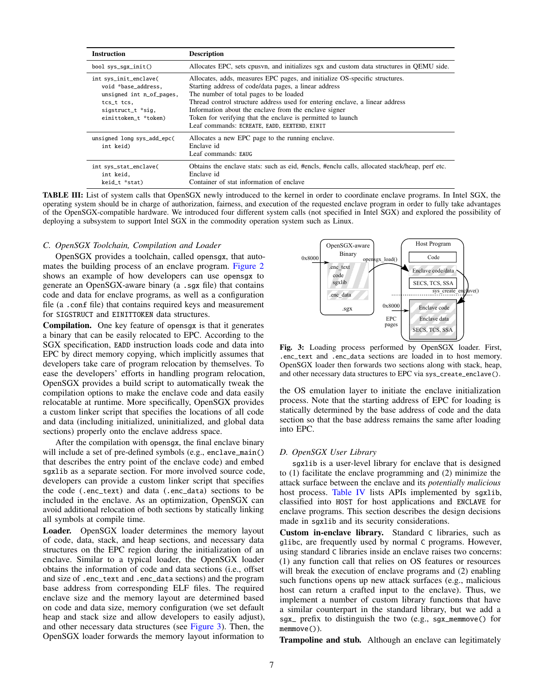<span id="page-6-2"></span>

| <b>Instruction</b>                                                                                                                  | <b>Description</b>                                                                                                                                                                                                                                                                                                                                                                                                                     |
|-------------------------------------------------------------------------------------------------------------------------------------|----------------------------------------------------------------------------------------------------------------------------------------------------------------------------------------------------------------------------------------------------------------------------------------------------------------------------------------------------------------------------------------------------------------------------------------|
| bool sys_sqx_init()                                                                                                                 | Allocates EPC, sets cpusyn, and initializes sgx and custom data structures in OEMU side.                                                                                                                                                                                                                                                                                                                                               |
| int sys_init_enclave(<br>void *base_address,<br>unsigned int n_of_pages,<br>tcs_t tcs,<br>sigstruct_t *sig,<br>einittoken_t *token) | Allocates, adds, measures EPC pages, and initialize OS-specific structures.<br>Starting address of code/data pages, a linear address<br>The number of total pages to be loaded<br>Thread control structure address used for entering enclave, a linear address<br>Information about the enclave from the enclave signer<br>Token for verifying that the enclave is permitted to launch<br>Leaf commands: ECREATE, EADD, EEXTEND, EINIT |
| unsigned long sys_add_epc(<br>int keid)                                                                                             | Allocates a new EPC page to the running enclave.<br>Enclave id<br>Leaf commands: EAUG                                                                                                                                                                                                                                                                                                                                                  |
| int sys_stat_enclave(<br>int keid,<br>keid_t *stat)                                                                                 | Obtains the enclave stats: such as eid, #encls, #enclu calls, allocated stack/heap, perf etc.<br>Enclave id<br>Container of stat information of enclave                                                                                                                                                                                                                                                                                |

TABLE III: List of system calls that OpenSGX newly introduced to the kernel in order to coordinate enclave programs. In Intel SGX, the operating system should be in charge of authorization, fairness, and execution of the requested enclave program in order to fully take advantages of the OpenSGX-compatible hardware. We introduced four different system calls (not specified in Intel SGX) and explored the possibility of deploying a subsystem to support Intel SGX in the commodity operation system such as Linux.

# <span id="page-6-0"></span>*C. OpenSGX Toolchain, Compilation and Loader*

OpenSGX provides a toolchain, called opensgx, that automates the building process of an enclave program. [Figure 2](#page-4-0) shows an example of how developers can use opensgx to generate an OpenSGX-aware binary (a .sgx file) that contains code and data for enclave programs, as well as a configuration file (a .conf file) that contains required keys and measurement for SIGSTRUCT and EINITTOKEN data structures.

Compilation. One key feature of opensgx is that it generates a binary that can be easily relocated to EPC. According to the SGX specification, EADD instruction loads code and data into EPC by direct memory copying, which implicitly assumes that developers take care of program relocation by themselves. To ease the developers' efforts in handling program relocation, OpenSGX provides a build script to automatically tweak the compilation options to make the enclave code and data easily relocatable at runtime. More specifically, OpenSGX provides a custom linker script that specifies the locations of all code and data (including initialized, uninitialized, and global data sections) properly onto the enclave address space.

After the compilation with opensgx, the final enclave binary will include a set of pre-defined symbols (e.g., enclave\_main() that describes the entry point of the enclave code) and embed sgxlib as a separate section. For more involved source code, developers can provide a custom linker script that specifies the code (.enc\_text) and data (.enc\_data) sections to be included in the enclave. As an optimization, OpenSGX can avoid additional relocation of both sections by statically linking all symbols at compile time.

Loader. OpenSGX loader determines the memory layout of code, data, stack, and heap sections, and necessary data structures on the EPC region during the initialization of an enclave. Similar to a typical loader, the OpenSGX loader obtains the information of code and data sections (i.e., offset and size of .enc\_text and .enc\_data sections) and the program base address from corresponding ELF files. The required enclave size and the memory layout are determined based on code and data size, memory configuration (we set default heap and stack size and allow developers to easily adjust), and other necessary data structures (see [Figure 3\)](#page-6-3). Then, the OpenSGX loader forwards the memory layout information to

<span id="page-6-3"></span>

Fig. 3: Loading process performed by OpenSGX loader. First, .enc\_text and .enc\_data sections are loaded in to host memory. OpenSGX loader then forwards two sections along with stack, heap, and other necessary data structures to EPC via sys\_create\_enclave().

the OS emulation layer to initiate the enclave initialization process. Note that the starting address of EPC for loading is statically determined by the base address of code and the data section so that the base address remains the same after loading into EPC.

# <span id="page-6-1"></span>*D. OpenSGX User Library*

sgxlib is a user-level library for enclave that is designed to (1) facilitate the enclave programming and (2) minimize the attack surface between the enclave and its *potentially malicious* host process. [Table IV](#page-7-0) lists APIs implemented by sgxlib, classified into HOST for host applications and ENCLAVE for enclave programs. This section describes the design decisions made in sgxlib and its security considerations.

Custom in-enclave library. Standard C libraries, such as glibc, are frequently used by normal C programs. However, using standard C libraries inside an enclave raises two concerns: (1) any function call that relies on OS features or resources will break the execution of enclave programs and (2) enabling such functions opens up new attack surfaces (e.g., malicious host can return a crafted input to the enclave). Thus, we implement a number of custom library functions that have a similar counterpart in the standard library, but we add a sgx\_ prefix to distinguish the two (e.g., sgx\_memmove() for memmove()).

Trampoline and stub. Although an enclave can legitimately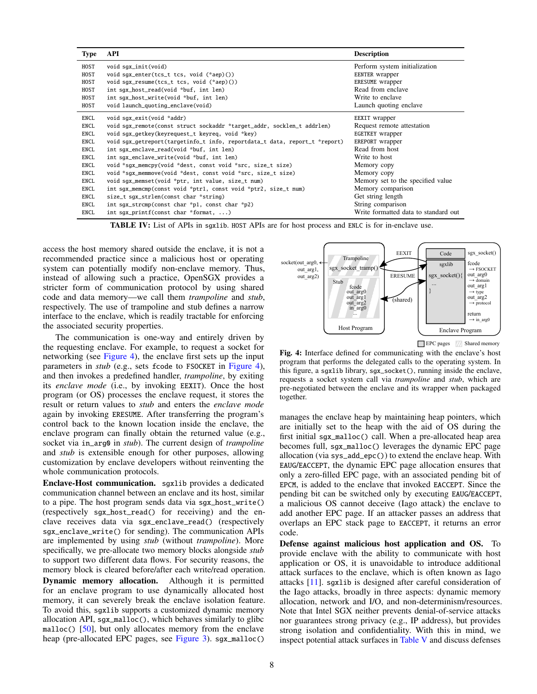<span id="page-7-0"></span>

| <b>Type</b> | <b>API</b>                                                                 | <b>Description</b>                   |
|-------------|----------------------------------------------------------------------------|--------------------------------------|
| HOST        | void sqx_init(void)                                                        | Perform system initialization        |
| HOST        | void sgx_enter(tcs_t tcs, void (*aep)())                                   | EENTER wrapper                       |
| HOST        | void sgx_resume(tcs_t tcs, void (*aep)())                                  | ERESUME wrapper                      |
| HOST        | int sgx_host_read(void *buf, int len)                                      | Read from enclave                    |
| HOST        | int sqx_host_write(void *buf, int len)                                     | Write to enclave                     |
| HOST        | void launch_quoting_enclave(void)                                          | Launch quoting enclave               |
| ENCL        | void sgx_exit(void *addr)                                                  | EEXIT wrapper                        |
| ENCL        | void sgx_remote(const struct sockaddr *target_addr, socklen_t addrlen)     | Request remote attestation           |
| ENCL        | void sqx_qetkey(keyrequest_t keyreq, void *key)                            | EGETKEY wrapper                      |
| ENCL        | void sgx_getreport(targetinfo_t info, reportdata_t data, report_t *report) | EREPORT wrapper                      |
| ENCL        | int sgx_enclave_read(void *buf, int len)                                   | Read from host                       |
| ENCL        | int sgx_enclave_write(void *buf, int len)                                  | Write to host                        |
| ENCL        | void *sqx_memcpy(void *dest, const void *src, size_t size)                 | Memory copy                          |
| ENCL        | void *sgx_memmove(void *dest, const void *src, size_t size)                | Memory copy                          |
| ENCL        | void sgx_memset(void *ptr, int value, size_t num)                          | Memory set to the specified value    |
| ENCL        | int sgx_memcmp(const void *ptr1, const void *ptr2, size_t num)             | Memory comparison                    |
| ENCL        | size_t sqx_strlen(const char *string)                                      | Get string length                    |
| ENCL        | int sqx_strcmp(const char *p1, const char *p2)                             | String comparison                    |
| ENCL        | int sqx_printf(const char *format, )                                       | Write formatted data to standard out |

TABLE IV: List of APIs in sgxlib. HOST APIs are for host process and ENLC is for in-enclave use.

access the host memory shared outside the enclave, it is not a recommended practice since a malicious host or operating system can potentially modify non-enclave memory. Thus, instead of allowing such a practice, OpenSGX provides a stricter form of communication protocol by using shared code and data memory—we call them *trampoline* and *stub*, respectively. The use of trampoline and stub defines a narrow interface to the enclave, which is readily tractable for enforcing the associated security properties.

The communication is one-way and entirely driven by the requesting enclave. For example, to request a socket for networking (see [Figure 4\)](#page-7-1), the enclave first sets up the input parameters in *stub* (e.g., sets fcode to FSOCKET in [Figure 4\)](#page-7-1), and then invokes a predefined handler, *trampoline*, by exiting its *enclave mode* (i.e., by invoking EEXIT). Once the host program (or OS) processes the enclave request, it stores the result or return values to *stub* and enters the *enclave mode* again by invoking ERESUME. After transferring the program's control back to the known location inside the enclave, the enclave program can finally obtain the returned value (e.g., socket via in\_arg0 in *stub*). The current design of *trampoline* and *stub* is extensible enough for other purposes, allowing customization by enclave developers without reinventing the whole communication protocols.

Enclave-Host communication. sgxlib provides a dedicated communication channel between an enclave and its host, similar to a pipe. The host program sends data via sgx\_host\_write() (respectively sgx\_host\_read() for receiving) and the enclave receives data via sgx\_enclave\_read() (respectively sgx\_enclave\_write() for sending). The communication APIs are implemented by using *stub* (without *trampoline*). More specifically, we pre-allocate two memory blocks alongside *stub* to support two different data flows. For security reasons, the memory block is cleared before/after each write/read operation.

Dynamic memory allocation. Although it is permitted for an enclave program to use dynamically allocated host memory, it can severely break the enclave isolation feature. To avoid this, sgxlib supports a customized dynamic memory allocation API, sgx\_malloc(), which behaves similarly to glibc malloc()  $[50]$ , but only allocates memory from the enclave heap (pre-allocated EPC pages, see [Figure 3\)](#page-6-3). sgx\_malloc()

<span id="page-7-1"></span>

Fig. 4: Interface defined for communicating with the enclave's host program that performs the delegated calls to the operating system. In this figure, a sgxlib library, sgx\_socket(), running inside the enclave, requests a socket system call via *trampoline* and *stub*, which are pre-negotiated between the enclave and its wrapper when packaged together.

manages the enclave heap by maintaining heap pointers, which are initially set to the heap with the aid of OS during the first initial sgx\_malloc() call. When a pre-allocated heap area becomes full, sgx\_malloc() leverages the dynamic EPC page allocation (via sys\_add\_epc()) to extend the enclave heap. With EAUG/EACCEPT, the dynamic EPC page allocation ensures that only a zero-filled EPC page, with an associated pending bit of EPCM, is added to the enclave that invoked EACCEPT. Since the pending bit can be switched only by executing EAUG/EACCEPT, a malicious OS cannot deceive (Iago attack) the enclave to add another EPC page. If an attacker passes an address that overlaps an EPC stack page to EACCEPT, it returns an error code.

Defense against malicious host application and OS. To provide enclave with the ability to communicate with host application or OS, it is unavoidable to introduce additional attack surfaces to the enclave, which is often known as Iago attacks [\[11\]](#page-15-5). sgxlib is designed after careful consideration of the Iago attacks, broadly in three aspects: dynamic memory allocation, network and I/O, and non-determinism/resources. Note that Intel SGX neither prevents denial-of-service attacks nor guarantees strong privacy (e.g., IP address), but provides strong isolation and confidentiality. With this in mind, we inspect potential attack surfaces in [Table V](#page-8-2) and discuss defenses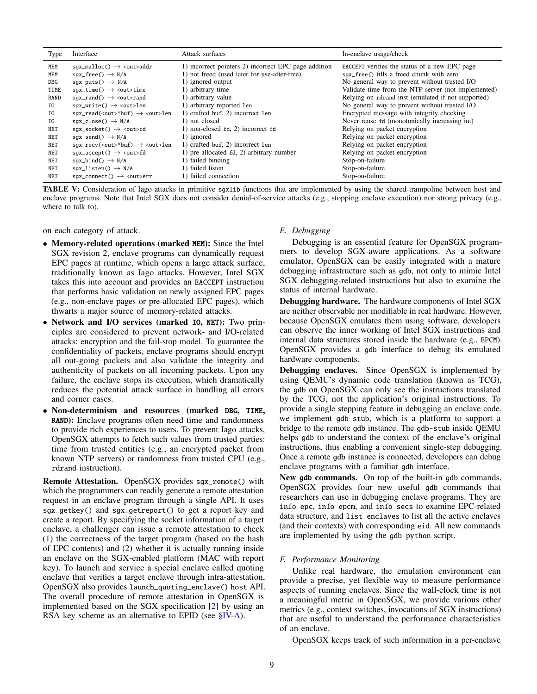<span id="page-8-2"></span>

| Type       | Interface                                                                 | Attack surfaces                                      | In-enclave usage/check                              |
|------------|---------------------------------------------------------------------------|------------------------------------------------------|-----------------------------------------------------|
| MEM        | $sgx_m$ alloc() $\rightarrow$ <out>addr</out>                             | 1) incorrect pointers 2) incorrect EPC page addition | EACCEPT verifies the status of a new EPC page       |
| MEM        | $sgx_free() \rightarrow N/A$                                              | 1) not freed (used later for use-after-free)         | sqx_free() fills a freed chunk with zero            |
| DBG        | $sgx_puts() \rightarrow N/A$                                              | 1) ignored output                                    | No general way to prevent without trusted I/O       |
| TIME       | $sqx_time() \rightarrow <$ out>time                                       | 1) arbitrary time                                    | Validate time from the NTP server (not implemented) |
| RAND       | $sgx\_rand() \rightarrow <$ out>rand                                      | 1) arbitrary value                                   | Relying on rdrand inst (emulated if not supported)  |
| I0         | $sgx\_write() \rightarrow out>len$                                        | 1) arbitrary reported 1 en                           | No general way to prevent without trusted I/O       |
| I0         | $sgx_{red}(\langle out \rangle^*buf) \rightarrow \langle out \rangle$ len | 1) crafted buf, 2) incorrect 1en                     | Encrypted message with integrity checking           |
| I0         | $sgx\_close() \rightarrow N/A$                                            | 1) not closed                                        | Never reuse fd (monotonically increasing int)       |
| <b>NET</b> | $sgx\_socket() \rightarrow  fd$                                           | 1) non-closed fd, 2) incorrect fd                    | Relying on packet encryption                        |
| NET        | sqx_send() $\rightarrow$ N/A                                              | 1) ignored                                           | Relying on packet encryption                        |
| NET        | $sgx\_recv(<$ out>*buf) $\rightarrow$ <out>len</out>                      | 1) crafted buf, 2) incorrect 1en                     | Relying on packet encryption                        |
| NET        | $sgx_a$ ccept() $\rightarrow$ <out>fd</out>                               | 1) pre-allocated fd, 2) arbitrary number             | Relying on packet encryption                        |
| NET        | $sgx\_bind() \rightarrow N/A$                                             | 1) failed binding                                    | Stop-on-failure                                     |
| NET        | $sgx\_listen() \rightarrow N/A$                                           | 1) failed listen                                     | Stop-on-failure                                     |
| NET        | $sqx\_connect() \rightarrow <$ out>err                                    | 1) failed connection                                 | Stop-on-failure                                     |

TABLE V: Consideration of Iago attacks in primitive sgx1ib functions that are implemented by using the shared trampoline between host and enclave programs. Note that Intel SGX does not consider denial-of-service attacks (e.g., stopping enclave execution) nor strong privacy (e.g., where to talk to).

on each category of attack.

- Memory-related operations (marked MEM): Since the Intel SGX revision 2, enclave programs can dynamically request EPC pages at runtime, which opens a large attack surface, traditionally known as Iago attacks. However, Intel SGX takes this into account and provides an EACCEPT instruction that performs basic validation on newly assigned EPC pages (e.g., non-enclave pages or pre-allocated EPC pages), which thwarts a major source of memory-related attacks.
- Network and I/O services (marked IO, NET): Two principles are considered to prevent network- and I/O-related attacks: encryption and the fail-stop model. To guarantee the confidentiality of packets, enclave programs should encrypt all out-going packets and also validate the integrity and authenticity of packets on all incoming packets. Upon any failure, the enclave stops its execution, which dramatically reduces the potential attack surface in handling all errors and corner cases.
- Non-determinism and resources (marked DBG, TIME, RAND): Enclave programs often need time and randomness to provide rich experiences to users. To prevent Iago attacks, OpenSGX attempts to fetch such values from trusted parties: time from trusted entities (e.g., an encrypted packet from known NTP servers) or randomness from trusted CPU (e.g., rdrand instruction).

Remote Attestation. OpenSGX provides sgx\_remote() with which the programmers can readily generate a remote attestation request in an enclave program through a single API. It uses sgx\_getkey() and sgx\_getreport() to get a report key and create a report. By specifying the socket information of a target enclave, a challenger can issue a remote attestation to check (1) the correctness of the target program (based on the hash of EPC contents) and (2) whether it is actually running inside an enclave on the SGX-enabled platform (MAC with report key). To launch and service a special enclave called quoting enclave that verifies a target enclave through intra-attestation, OpenSGX also provides launch\_quoting\_enclave() host API. The overall procedure of remote attestation in OpenSGX is implemented based on the SGX specification [\[2\]](#page-14-1) by using an RSA key scheme as an alternative to EPID (see  $\S$ IV-A).

# <span id="page-8-0"></span>*E. Debugging*

Debugging is an essential feature for OpenSGX programmers to develop SGX-aware applications. As a software emulator, OpenSGX can be easily integrated with a mature debugging infrastructure such as gdb, not only to mimic Intel SGX debugging-related instructions but also to examine the status of internal hardware.

Debugging hardware. The hardware components of Intel SGX are neither observable nor modifiable in real hardware. However, because OpenSGX emulates them using software, developers can observe the inner working of Intel SGX instructions and internal data structures stored inside the hardware (e.g., EPCM). OpenSGX provides a gdb interface to debug its emulated hardware components.

Debugging enclaves. Since OpenSGX is implemented by using QEMU's dynamic code translation (known as TCG), the gdb on OpenSGX can only see the instructions translated by the TCG, not the application's original instructions. To provide a single stepping feature in debugging an enclave code, we implement gdb-stub, which is a platform to support a bridge to the remote gdb instance. The gdb-stub inside QEMU helps gdb to understand the context of the enclave's original instructions, thus enabling a convenient single-step debugging. Once a remote gdb instance is connected, developers can debug enclave programs with a familiar gdb interface.

New gdb commands. On top of the built-in gdb commands, OpenSGX provides four new useful gdb commands that researchers can use in debugging enclave programs. They are info epc, info epcm, and info secs to examine EPC-related data structure, and list enclaves to list all the active enclaves (and their contexts) with corresponding eid. All new commands are implemented by using the gdb-python script.

# <span id="page-8-1"></span>*F. Performance Monitoring*

Unlike real hardware, the emulation environment can provide a precise, yet flexible way to measure performance aspects of running enclaves. Since the wall-clock time is not a meaningful metric in OpenSGX, we provide various other metrics (e.g., context switches, invocations of SGX instructions) that are useful to understand the performance characteristics of an enclave.

OpenSGX keeps track of such information in a per-enclave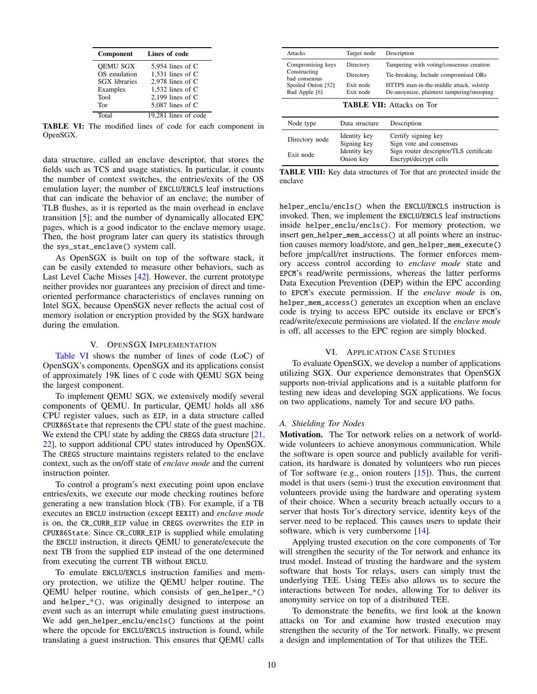<span id="page-9-2"></span>

| Component            | Lines of code        |
|----------------------|----------------------|
| <b>OEMU SGX</b>      | 5,954 lines of $C$   |
| OS emulation         | 1.531 lines of $C$   |
| <b>SGX</b> libraries | 2,978 lines of C     |
| Examples             | 1,532 lines of $C$   |
| Tool                 | 2,199 lines of $C$   |
| Tor                  | $5,087$ lines of C   |
| Total                | 19,281 lines of code |

TABLE VI: The modified lines of code for each component in OpenSGX.

data structure, called an enclave descriptor, that stores the fields such as TCS and usage statistics. In particular, it counts the number of context switches, the entries/exits of the OS emulation layer; the number of ENCLU/ENCLS leaf instructions that can indicate the behavior of an enclave; the number of TLB flushes, as it is reported as the main overhead in enclave transition [\[5\]](#page-14-2); and the number of dynamically allocated EPC pages, which is a good indicator to the enclave memory usage. Then, the host program later can query its statistics through the sys\_stat\_enclave() system call.

As OpenSGX is built on top of the software stack, it can be easily extended to measure other behaviors, such as Last Level Cache Misses [\[42\]](#page-15-3). However, the current prototype neither provides nor guarantees any precision of direct and timeoriented performance characteristics of enclaves running on Intel SGX, because OpenSGX never reflects the actual cost of memory isolation or encryption provided by the SGX hardware during the emulation.

## V. OPENSGX IMPLEMENTATION

<span id="page-9-0"></span>[Table VI](#page-9-2) shows the number of lines of code (LoC) of OpenSGX's components. OpenSGX and its applications consist of approximately 19K lines of C code with QEMU SGX being the largest component.

To implement QEMU SGX, we extensively modify several components of QEMU. In particular, QEMU holds all x86 CPU register values, such as EIP, in a data structure called CPUX86State that represents the CPU state of the guest machine. We extend the CPU state by adding the CREGS data structure  $[21, 1]$  $[21, 1]$ [22\]](#page-15-8), to support additional CPU states introduced by OpenSGX. The CREGS structure maintains registers related to the enclave context, such as the on/off state of *enclave mode* and the current instruction pointer.

To control a program's next executing point upon enclave entries/exits, we execute our mode checking routines before generating a new translation block (TB). For example, if a TB executes an ENCLU instruction (except EEXIT) and *enclave mode* is on, the CR\_CURR\_EIP value in CREGS overwrites the EIP in CPUX86State. Since CR\_CURR\_EIP is supplied while emulating the ENCLU instruction, it directs QEMU to generate/execute the next TB from the supplied EIP instead of the one determined from executing the current TB without ENCLU.

To emulate ENCLU/ENCLS instruction families and memory protection, we utilize the QEMU helper routine. The QEMU helper routine, which consists of gen\_helper\_\*() and helper\_\*(), was originally designed to interpose an event such as an interrupt while emulating guest instructions. We add gen\_helper\_enclu/encls() functions at the point where the opcode for ENCLU/ENCLS instruction is found, while translating a guest instruction. This ensures that QEMU calls

<span id="page-9-3"></span>

| Attacks                       | Target node                      | Description                               |  |  |  |
|-------------------------------|----------------------------------|-------------------------------------------|--|--|--|
| Compromising keys             | Directory                        | Tampering with voting/consensus creation  |  |  |  |
| Constructing<br>bad consensus | Directory                        | Tie-breaking, Include compromised ORs     |  |  |  |
| Spoiled Onion [52]            | Exit node                        | HTTPS man-in-the-middle attack, sslstrip  |  |  |  |
| Bad Apple [6]                 | Exit node                        | De-anoymize, plaintext tampering/snooping |  |  |  |
|                               | <b>TARLE VII.</b> Attacks on Tor |                                           |  |  |  |

TABLE VII: Attacks on Tor

<span id="page-9-4"></span>

| Node type                   | Data structure                                           | Description                                                                                                       |
|-----------------------------|----------------------------------------------------------|-------------------------------------------------------------------------------------------------------------------|
| Directory node<br>Exit node | Identity key<br>Signing key<br>Identity key<br>Onion key | Certify signing key<br>Sign vote and consensus<br>Sign router descriptor/TLS certificate<br>Encrypt/decrypt cells |

TABLE VIII: Key data structures of Tor that are protected inside the enclave

helper\_enclu/encls() when the ENCLU/ENCLS instruction is invoked. Then, we implement the ENCLU/ENCLS leaf instructions inside helper\_enclu/encls(). For memory protection, we insert gen\_helper\_mem\_access() at all points where an instruction causes memory load/store, and gen\_helper\_mem\_execute() before jmp/call/ret instructions. The former enforces memory access control according to *enclave mode* state and EPCM's read/write permissions, whereas the latter performs Data Execution Prevention (DEP) within the EPC according to EPCM's execute permission. If the *enclave mode* is on, helper\_mem\_access() generates an exception when an enclave code is trying to access EPC outside its enclave or EPCM's read/write/execute permissions are violated. If the *enclave mode* is off, all accesses to the EPC region are simply blocked.

# VI. APPLICATION CASE STUDIES

<span id="page-9-1"></span>To evaluate OpenSGX, we develop a number of applications utilizing SGX. Our experience demonstrates that OpenSGX supports non-trivial applications and is a suitable platform for testing new ideas and developing SGX applications. We focus on two applications, namely Tor and secure I/O paths.

# *A. Shielding Tor Nodes*

Motivation. The Tor network relies on a network of worldwide volunteers to achieve anonymous communication. While the software is open source and publicly available for verification, its hardware is donated by volunteers who run pieces of Tor software (e.g., onion routers [\[15\]](#page-15-16)). Thus, the current model is that users (semi-) trust the execution environment that volunteers provide using the hardware and operating system of their choice. When a security breach actually occurs to a server that hosts Tor's directory service, identity keys of the server need to be replaced. This causes users to update their software, which is very cumbersome [\[14\]](#page-15-17).

Applying trusted execution on the core components of Tor will strengthen the security of the Tor network and enhance its trust model. Instead of trusting the hardware and the system software that hosts Tor relays, users can simply trust the underlying TEE. Using TEEs also allows us to secure the interactions between Tor nodes, allowing Tor to deliver its anonymity service on top of a distributed TEE.

To demonstrate the benefits, we first look at the known attacks on Tor and examine how trusted execution may strengthen the security of the Tor network. Finally, we present a design and implementation of Tor that utilizes the TEE.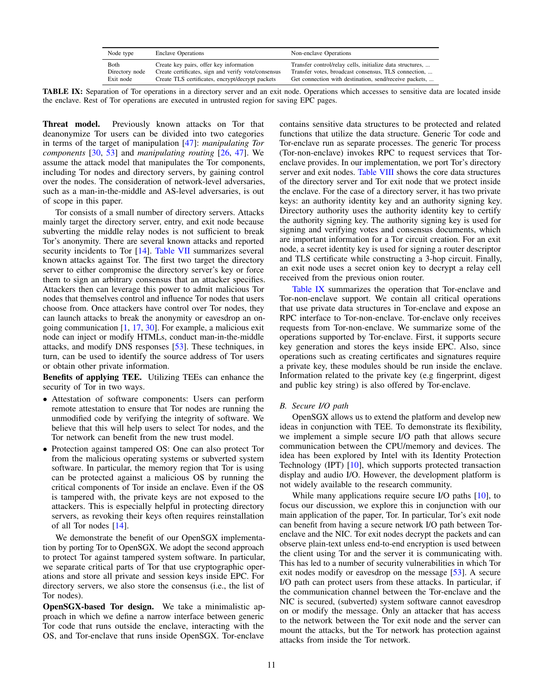| Node type      | <b>Enclave Operations</b>                           | Non-enclave Operations                                    |
|----------------|-----------------------------------------------------|-----------------------------------------------------------|
| Both           | Create key pairs, offer key information             | Transfer control/relay cells, initialize data structures, |
| Directory node | Create certificates, sign and verify vote/consensus | Transfer votes, broadcast consensus, TLS connection,      |
| Exit node      | Create TLS certificates, encrypt/decrypt packets    | Get connection with destination, send/receive packets,    |

<span id="page-10-0"></span>TABLE IX: Separation of Tor operations in a directory server and an exit node. Operations which accesses to sensitive data are located inside the enclave. Rest of Tor operations are executed in untrusted region for saving EPC pages.

Threat model. Previously known attacks on Tor that deanonymize Tor users can be divided into two categories in terms of the target of manipulation [\[47\]](#page-15-18): *manipulating Tor components* [\[30,](#page-15-19) [53\]](#page-15-20) and *manipulating routing* [\[26,](#page-15-21) [47\]](#page-15-18). We assume the attack model that manipulates the Tor components, including Tor nodes and directory servers, by gaining control over the nodes. The consideration of network-level adversaries, such as a man-in-the-middle and AS-level adversaries, is out of scope in this paper.

Tor consists of a small number of directory servers. Attacks mainly target the directory server, entry, and exit node because subverting the middle relay nodes is not sufficient to break Tor's anonymity. There are several known attacks and reported security incidents to Tor [\[14\]](#page-15-17). [Table VII](#page-9-3) summarizes several known attacks against Tor. The first two target the directory server to either compromise the directory server's key or force them to sign an arbitrary consensus that an attacker specifies. Attackers then can leverage this power to admit malicious Tor nodes that themselves control and influence Tor nodes that users choose from. Once attackers have control over Tor nodes, they can launch attacks to break the anonymity or eavesdrop an ongoing communication [\[1,](#page-14-5) [17,](#page-15-22) [30\]](#page-15-19). For example, a malicious exit node can inject or modify HTMLs, conduct man-in-the-middle attacks, and modify DNS responses [\[53\]](#page-15-20). These techniques, in turn, can be used to identify the source address of Tor users or obtain other private information.

Benefits of applying TEE. Utilizing TEEs can enhance the security of Tor in two ways.

- Attestation of software components: Users can perform remote attestation to ensure that Tor nodes are running the unmodified code by verifying the integrity of software. We believe that this will help users to select Tor nodes, and the Tor network can benefit from the new trust model.
- Protection against tampered OS: One can also protect Tor from the malicious operating systems or subverted system software. In particular, the memory region that Tor is using can be protected against a malicious OS by running the critical components of Tor inside an enclave. Even if the OS is tampered with, the private keys are not exposed to the attackers. This is especially helpful in protecting directory servers, as revoking their keys often requires reinstallation of all Tor nodes [\[14\]](#page-15-17).

We demonstrate the benefit of our OpenSGX implementation by porting Tor to OpenSGX. We adopt the second approach to protect Tor against tampered system software. In particular, we separate critical parts of Tor that use cryptographic operations and store all private and session keys inside EPC. For directory servers, we also store the consensus (i.e., the list of Tor nodes).

OpenSGX-based Tor design. We take a minimalistic approach in which we define a narrow interface between generic Tor code that runs outside the enclave, interacting with the OS, and Tor-enclave that runs inside OpenSGX. Tor-enclave

contains sensitive data structures to be protected and related functions that utilize the data structure. Generic Tor code and Tor-enclave run as separate processes. The generic Tor process (Tor-non-enclave) invokes RPC to request services that Torenclave provides. In our implementation, we port Tor's directory server and exit nodes. [Table VIII](#page-9-4) shows the core data structures of the directory server and Tor exit node that we protect inside the enclave. For the case of a directory server, it has two private keys: an authority identity key and an authority signing key. Directory authority uses the authority identity key to certify the authority signing key. The authority signing key is used for signing and verifying votes and consensus documents, which are important information for a Tor circuit creation. For an exit node, a secret identity key is used for signing a router descriptor and TLS certificate while constructing a 3-hop circuit. Finally, an exit node uses a secret onion key to decrypt a relay cell received from the previous onion router.

[Table IX](#page-10-0) summarizes the operation that Tor-enclave and Tor-non-enclave support. We contain all critical operations that use private data structures in Tor-enclave and expose an RPC interface to Tor-non-enclave. Tor-enclave only receives requests from Tor-non-enclave. We summarize some of the operations supported by Tor-enclave. First, it supports secure key generation and stores the keys inside EPC. Also, since operations such as creating certificates and signatures require a private key, these modules should be run inside the enclave. Information related to the private key (e.g fingerprint, digest and public key string) is also offered by Tor-enclave.

# <span id="page-10-1"></span>*B. Secure I/O path*

OpenSGX allows us to extend the platform and develop new ideas in conjunction with TEE. To demonstrate its flexibility, we implement a simple secure I/O path that allows secure communication between the CPU/memory and devices. The idea has been explored by Intel with its Identity Protection Technology (IPT) [\[10\]](#page-15-23), which supports protected transaction display and audio I/O. However, the development platform is not widely available to the research community.

While many applications require secure I/O paths [\[10\]](#page-15-23), to focus our discussion, we explore this in conjunction with our main application of the paper, Tor. In particular, Tor's exit node can benefit from having a secure network I/O path between Torenclave and the NIC. Tor exit nodes decrypt the packets and can observe plain-text unless end-to-end encryption is used between the client using Tor and the server it is communicating with. This has led to a number of security vulnerabilities in which Tor exit nodes modify or eavesdrop on the message [\[53\]](#page-15-20). A secure I/O path can protect users from these attacks. In particular, if the communication channel between the Tor-enclave and the NIC is secured, (subverted) system software cannot eavesdrop on or modify the message. Only an attacker that has access to the network between the Tor exit node and the server can mount the attacks, but the Tor network has protection against attacks from inside the Tor network.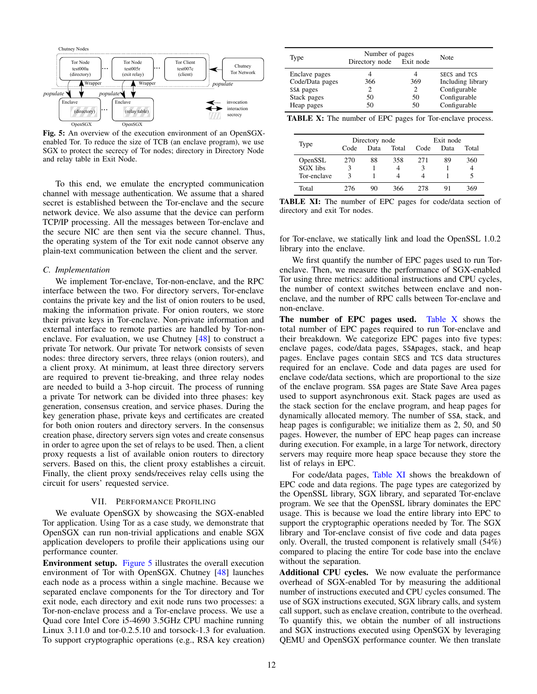<span id="page-11-1"></span>

Fig. 5: An overview of the execution environment of an OpenSGXenabled Tor. To reduce the size of TCB (an enclave program), we use SGX to protect the secrecy of Tor nodes; directory in Directory Node and relay table in Exit Node.

To this end, we emulate the encrypted communication channel with message authentication. We assume that a shared secret is established between the Tor-enclave and the secure network device. We also assume that the device can perform TCP/IP processing. All the messages between Tor-enclave and the secure NIC are then sent via the secure channel. Thus, the operating system of the Tor exit node cannot observe any plain-text communication between the client and the server.

## *C. Implementation*

We implement Tor-enclave, Tor-non-enclave, and the RPC interface between the two. For directory servers, Tor-enclave contains the private key and the list of onion routers to be used, making the information private. For onion routers, we store their private keys in Tor-enclave. Non-private information and external interface to remote parties are handled by Tor-nonenclave. For evaluation, we use Chutney [\[48\]](#page-15-24) to construct a private Tor network. Our private Tor network consists of seven nodes: three directory servers, three relays (onion routers), and a client proxy. At minimum, at least three directory servers are required to prevent tie-breaking, and three relay nodes are needed to build a 3-hop circuit. The process of running a private Tor network can be divided into three phases: key generation, consensus creation, and service phases. During the key generation phase, private keys and certificates are created for both onion routers and directory servers. In the consensus creation phase, directory servers sign votes and create consensus in order to agree upon the set of relays to be used. Then, a client proxy requests a list of available onion routers to directory servers. Based on this, the client proxy establishes a circuit. Finally, the client proxy sends/receives relay cells using the circuit for users' requested service.

# VII. PERFORMANCE PROFILING

<span id="page-11-0"></span>We evaluate OpenSGX by showcasing the SGX-enabled Tor application. Using Tor as a case study, we demonstrate that OpenSGX can run non-trivial applications and enable SGX application developers to profile their applications using our performance counter.

Environment setup. [Figure 5](#page-11-1) illustrates the overall execution environment of Tor with OpenSGX. Chutney [\[48\]](#page-15-24) launches each node as a process within a single machine. Because we separated enclave components for the Tor directory and Tor exit node, each directory and exit node runs two processes: a Tor-non-enclave process and a Tor-enclave process. We use a Quad core Intel Core i5-4690 3.5GHz CPU machine running Linux 3.11.0 and tor-0.2.5.10 and torsock-1.3 for evaluation. To support cryptographic operations (e.g., RSA key creation)

<span id="page-11-2"></span>

| Type                                                                       | Number of pages<br>Directory node Exit node | Note            |                                                                                   |
|----------------------------------------------------------------------------|---------------------------------------------|-----------------|-----------------------------------------------------------------------------------|
| Enclave pages<br>Code/Data pages<br>SSA pages<br>Stack pages<br>Heap pages | 366<br>50<br>50                             | 369<br>50<br>50 | SECS and TCS<br>Including library<br>Configurable<br>Configurable<br>Configurable |

TABLE X: The number of EPC pages for Tor-enclave process.

<span id="page-11-3"></span>

|             | Directory node |      |       | Exit node |      |       |
|-------------|----------------|------|-------|-----------|------|-------|
| Type        | Code           | Data | Total | Code      | Data | Total |
| OpenSSL     | 270            | 88   | 358   | 271       | 89   | 360   |
| SGX libs    | 3              |      | 4     | ٩         |      |       |
| Tor-enclave | ٩              |      | 4     | 4         |      |       |
| Total       | 276            | 90   | 366   | 278       | 91   | 369   |

TABLE XI: The number of EPC pages for code/data section of directory and exit Tor nodes.

for Tor-enclave, we statically link and load the OpenSSL 1.0.2 library into the enclave.

We first quantify the number of EPC pages used to run Torenclave. Then, we measure the performance of SGX-enabled Tor using three metrics: additional instructions and CPU cycles, the number of context switches between enclave and nonenclave, and the number of RPC calls between Tor-enclave and non-enclave.

The number of EPC pages used. [Table X](#page-11-2) shows the total number of EPC pages required to run Tor-enclave and their breakdown. We categorize EPC pages into five types: enclave pages, code/data pages, SSApages, stack, and heap pages. Enclave pages contain SECS and TCS data structures required for an enclave. Code and data pages are used for enclave code/data sections, which are proportional to the size of the enclave program. SSA pages are State Save Area pages used to support asynchronous exit. Stack pages are used as the stack section for the enclave program, and heap pages for dynamically allocated memory. The number of SSA, stack, and heap pages is configurable; we initialize them as 2, 50, and 50 pages. However, the number of EPC heap pages can increase during execution. For example, in a large Tor network, directory servers may require more heap space because they store the list of relays in EPC.

For code/data pages, [Table XI](#page-11-3) shows the breakdown of EPC code and data regions. The page types are categorized by the OpenSSL library, SGX library, and separated Tor-enclave program. We see that the OpenSSL library dominates the EPC usage. This is because we load the entire library into EPC to support the cryptographic operations needed by Tor. The SGX library and Tor-enclave consist of five code and data pages only. Overall, the trusted component is relatively small (54%) compared to placing the entire Tor code base into the enclave without the separation.

Additional CPU cycles. We now evaluate the performance overhead of SGX-enabled Tor by measuring the additional number of instructions executed and CPU cycles consumed. The use of SGX instructions executed, SGX library calls, and system call support, such as enclave creation, contribute to the overhead. To quantify this, we obtain the number of all instructions and SGX instructions executed using OpenSGX by leveraging QEMU and OpenSGX performance counter. We then translate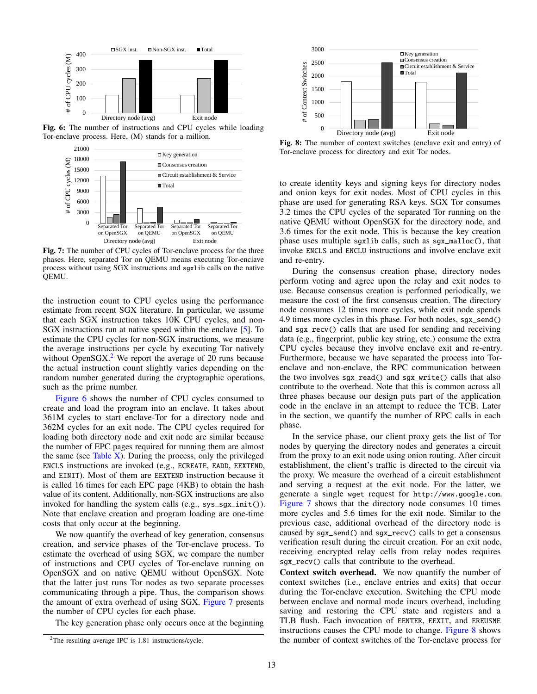<span id="page-12-1"></span>

<span id="page-12-2"></span>Fig. 6: The number of instructions and CPU cycles while loading Tor-enclave process. Here, (M) stands for a million.



Fig. 7: The number of CPU cycles of Tor-enclave process for the three phases. Here, separated Tor on QEMU means executing Tor-enclave process without using SGX instructions and sgxlib calls on the native QEMU.

the instruction count to CPU cycles using the performance estimate from recent SGX literature. In particular, we assume that each SGX instruction takes 10K CPU cycles, and non-SGX instructions run at native speed within the enclave [\[5\]](#page-14-2). To estimate the CPU cycles for non-SGX instructions, we measure the average instructions per cycle by executing Tor natively without OpenSGX. $2$  We report the average of 20 runs because the actual instruction count slightly varies depending on the random number generated during the cryptographic operations, such as the prime number.

[Figure 6](#page-12-1) shows the number of CPU cycles consumed to create and load the program into an enclave. It takes about 361M cycles to start enclave-Tor for a directory node and 362M cycles for an exit node. The CPU cycles required for loading both directory node and exit node are similar because the number of EPC pages required for running them are almost the same (see Table  $X$ ). During the process, only the privileged ENCLS instructions are invoked (e.g., ECREATE, EADD, EEXTEND, and EINIT). Most of them are EEXTEND instruction because it is called 16 times for each EPC page (4KB) to obtain the hash value of its content. Additionally, non-SGX instructions are also invoked for handling the system calls (e.g., sys\_sgx\_init()). Note that enclave creation and program loading are one-time costs that only occur at the beginning.

We now quantify the overhead of key generation, consensus creation, and service phases of the Tor-enclave process. To estimate the overhead of using SGX, we compare the number of instructions and CPU cycles of Tor-enclave running on OpenSGX and on native QEMU without OpenSGX. Note that the latter just runs Tor nodes as two separate processes communicating through a pipe. Thus, the comparison shows the amount of extra overhead of using SGX. [Figure 7](#page-12-2) presents the number of CPU cycles for each phase.

The key generation phase only occurs once at the beginning

<span id="page-12-3"></span>

Fig. 8: The number of context switches (enclave exit and entry) of Tor-enclave process for directory and exit Tor nodes.

to create identity keys and signing keys for directory nodes and onion keys for exit nodes. Most of CPU cycles in this phase are used for generating RSA keys. SGX Tor consumes 3.2 times the CPU cycles of the separated Tor running on the native QEMU without OpenSGX for the directory node, and 3.6 times for the exit node. This is because the key creation phase uses multiple sgxlib calls, such as sgx\_malloc(), that invoke ENCLS and ENCLU instructions and involve enclave exit and re-entry.

During the consensus creation phase, directory nodes perform voting and agree upon the relay and exit nodes to use. Because consensus creation is performed periodically, we measure the cost of the first consensus creation. The directory node consumes 12 times more cycles, while exit node spends 4.9 times more cycles in this phase. For both nodes, sgx\_send() and sgx\_recv() calls that are used for sending and receiving data (e.g., fingerprint, public key string, etc.) consume the extra CPU cycles because they involve enclave exit and re-entry. Furthermore, because we have separated the process into Torenclave and non-enclave, the RPC communication between the two involves sgx\_read() and sgx\_write() calls that also contribute to the overhead. Note that this is common across all three phases because our design puts part of the application code in the enclave in an attempt to reduce the TCB. Later in the section, we quantify the number of RPC calls in each phase.

In the service phase, our client proxy gets the list of Tor nodes by querying the directory nodes and generates a circuit from the proxy to an exit node using onion routing. After circuit establishment, the client's traffic is directed to the circuit via the proxy. We measure the overhead of a circuit establishment and serving a request at the exit node. For the latter, we generate a single wget request for http://www.google.com. [Figure 7](#page-12-2) shows that the directory node consumes 10 times more cycles and 5.6 times for the exit node. Similar to the previous case, additional overhead of the directory node is caused by sgx\_send() and sgx\_recv() calls to get a consensus verification result during the circuit creation. For an exit node, receiving encrypted relay cells from relay nodes requires sgx\_recv() calls that contribute to the overhead.

Context switch overhead. We now quantify the number of context switches (i.e., enclave entries and exits) that occur during the Tor-enclave execution. Switching the CPU mode between enclave and normal mode incurs overhead, including saving and restoring the CPU state and registers and a TLB flush. Each invocation of EENTER, EEXIT, and EREUSME instructions causes the CPU mode to change. [Figure 8](#page-12-3) shows the number of context switches of the Tor-enclave process for

<span id="page-12-0"></span><sup>&</sup>lt;sup>2</sup>The resulting average IPC is 1.81 instructions/cycle.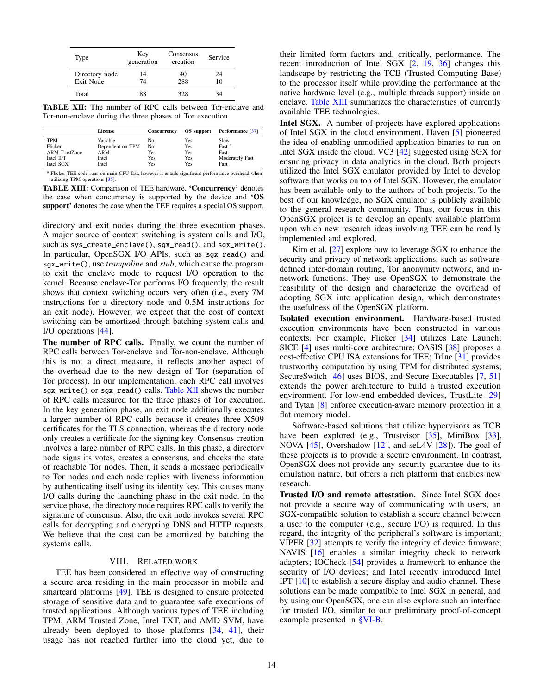<span id="page-13-1"></span>

| Type                        | Key<br>generation | Consensus<br>creation | <b>Service</b> |
|-----------------------------|-------------------|-----------------------|----------------|
| Directory node<br>Exit Node | 14<br>74          | 40<br>288             | 24<br>10       |
| Total                       | 88                | 328                   | 34             |

TABLE XII: The number of RPC calls between Tor-enclave and Tor-non-enclave during the three phases of Tor execution

<span id="page-13-2"></span>

|                      | License          | Concurrency | OS support | Performance [37]  |
|----------------------|------------------|-------------|------------|-------------------|
| <b>TPM</b>           | Variable         | No          | Yes        | Slow              |
| Flicker              | Dependent on TPM | No          | Yes        | Fast <sup>a</sup> |
| <b>ARM TrustZone</b> | ARM              | Yes         | Yes        | Fast              |
| Intel IPT            | Intel            | Yes         | Yes        | Moderately Fast   |
| Intel SGX            | Intel            | Yes         | Yes        | Fast              |

<sup>a</sup> Flicker TEE code runs on main CPU fast, however it entails significant performance overhead when utilizing TPM operations [\[35\].](#page-15-26)

TABLE XIII: Comparison of TEE hardware. 'Concurrency' denotes the case when concurrency is supported by the device and 'OS support' denotes the case when the TEE requires a special OS support.

directory and exit nodes during the three execution phases. A major source of context switching is system calls and I/O, such as sys\_create\_enclave(), sgx\_read(), and sgx\_write(). In particular, OpenSGX I/O APIs, such as sgx\_read() and sgx\_write(), use *trampoline* and *stub*, which cause the program to exit the enclave mode to request I/O operation to the kernel. Because enclave-Tor performs I/O frequently, the result shows that context switching occurs very often (i.e., every 7M instructions for a directory node and 0.5M instructions for an exit node). However, we expect that the cost of context switching can be amortized through batching system calls and I/O operations [\[44\]](#page-15-27).

The number of RPC calls. Finally, we count the number of RPC calls between Tor-enclave and Tor-non-enclave. Although this is not a direct measure, it reflects another aspect of the overhead due to the new design of Tor (separation of Tor process). In our implementation, each RPC call involves sgx\_write() or sgx\_read() calls. [Table XII](#page-13-1) shows the number of RPC calls measured for the three phases of Tor execution. In the key generation phase, an exit node additionally executes a larger number of RPC calls because it creates three X509 certificates for the TLS connection, whereas the directory node only creates a certificate for the signing key. Consensus creation involves a large number of RPC calls. In this phase, a directory node signs its votes, creates a consensus, and checks the state of reachable Tor nodes. Then, it sends a message periodically to Tor nodes and each node replies with liveness information by authenticating itself using its identity key. This causes many I/O calls during the launching phase in the exit node. In the service phase, the directory node requires RPC calls to verify the signature of consensus. Also, the exit node invokes several RPC calls for decrypting and encrypting DNS and HTTP requests. We believe that the cost can be amortized by batching the systems calls.

# VIII. RELATED WORK

<span id="page-13-0"></span>TEE has been considered an effective way of constructing a secure area residing in the main processor in mobile and smartcard platforms [\[49\]](#page-15-28). TEE is designed to ensure protected storage of sensitive data and to guarantee safe executions of trusted applications. Although various types of TEE including TPM, ARM Trusted Zone, Intel TXT, and AMD SVM, have already been deployed to those platforms [\[34,](#page-15-10) [41\]](#page-15-29), their usage has not reached further into the cloud yet, due to

their limited form factors and, critically, performance. The recent introduction of Intel SGX [\[2,](#page-14-1) [19,](#page-15-1) [36\]](#page-15-2) changes this landscape by restricting the TCB (Trusted Computing Base) to the processor itself while providing the performance at the native hardware level (e.g., multiple threads support) inside an enclave. [Table XIII](#page-13-2) summarizes the characteristics of currently available TEE technologies.

Intel SGX. A number of projects have explored applications of Intel SGX in the cloud environment. Haven [\[5\]](#page-14-2) pioneered the idea of enabling unmodified application binaries to run on Intel SGX inside the cloud. VC3 [\[42\]](#page-15-3) suggested using SGX for ensuring privacy in data analytics in the cloud. Both projects utilized the Intel SGX emulator provided by Intel to develop software that works on top of Intel SGX. However, the emulator has been available only to the authors of both projects. To the best of our knowledge, no SGX emulator is publicly available to the general research community. Thus, our focus in this OpenSGX project is to develop an openly available platform upon which new research ideas involving TEE can be readily implemented and explored.

Kim et al. [\[27\]](#page-15-30) explore how to leverage SGX to enhance the security and privacy of network applications, such as softwaredefined inter-domain routing, Tor anonymity network, and innetwork functions. They use OpenSGX to demonstrate the feasibility of the design and characterize the overhead of adopting SGX into application design, which demonstrates the usefulness of the OpenSGX platform.

Isolated execution environment. Hardware-based trusted execution environments have been constructed in various contexts. For example, Flicker [\[34\]](#page-15-10) utilizes Late Launch; SICE [\[4\]](#page-14-6) uses multi-core architecture; OASIS [\[38\]](#page-15-31) proposes a cost-effective CPU ISA extensions for TEE; TrInc [\[31\]](#page-15-32) provides trustworthy computation by using TPM for distributed systems; SecureSwitch [\[46\]](#page-15-33) uses BIOS, and Secure Executables [\[7,](#page-15-34) [51\]](#page-15-35) extends the power architecture to build a trusted execution environment. For low-end embedded devices, TrustLite [\[29\]](#page-15-36) and Tytan [\[8\]](#page-15-37) enforce execution-aware memory protection in a flat memory model.

Software-based solutions that utilize hypervisors as TCB have been explored (e.g., Trustvisor [\[35\]](#page-15-26), MiniBox [\[33\]](#page-15-38), NOVA [\[45\]](#page-15-39), Overshadow [\[12\]](#page-15-40), and seL4V [\[28\]](#page-15-41)). The goal of these projects is to provide a secure environment. In contrast, OpenSGX does not provide any security guarantee due to its emulation nature, but offers a rich platform that enables new research.

Trusted I/O and remote attestation. Since Intel SGX does not provide a secure way of communicating with users, an SGX-compatible solution to establish a secure channel between a user to the computer (e.g., secure I/O) is required. In this regard, the integrity of the peripheral's software is important; VIPER [\[32\]](#page-15-42) attempts to verify the integrity of device firmware; NAVIS [\[16\]](#page-15-43) enables a similar integrity check to network adapters; IOCheck [\[54\]](#page-15-44) provides a framework to enhance the security of I/O devices; and Intel recently introduced Intel IPT [\[10\]](#page-15-23) to establish a secure display and audio channel. These solutions can be made compatible to Intel SGX in general, and by using our OpenSGX, one can also explore such an interface for trusted I/O, similar to our preliminary proof-of-concept example presented in [§VI-B.](#page-10-1)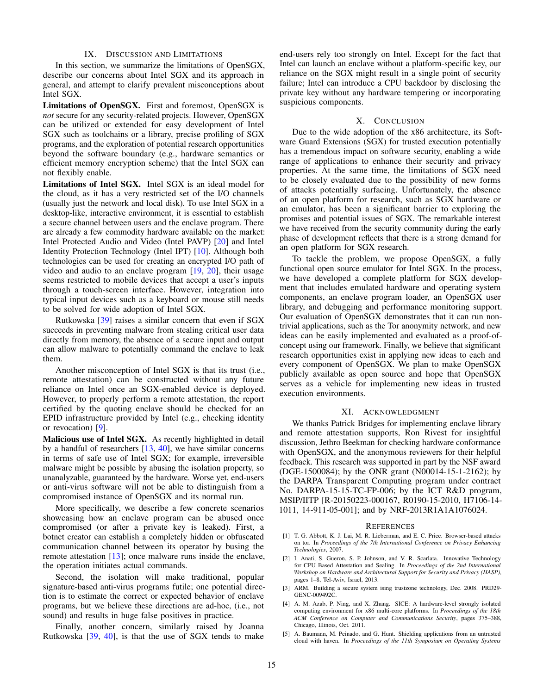#### IX. DISCUSSION AND LIMITATIONS

<span id="page-14-3"></span>In this section, we summarize the limitations of OpenSGX, describe our concerns about Intel SGX and its approach in general, and attempt to clarify prevalent misconceptions about Intel SGX.

Limitations of OpenSGX. First and foremost, OpenSGX is *not* secure for any security-related projects. However, OpenSGX can be utilized or extended for easy development of Intel SGX such as toolchains or a library, precise profiling of SGX programs, and the exploration of potential research opportunities beyond the software boundary (e.g., hardware semantics or efficient memory encryption scheme) that the Intel SGX can not flexibly enable.

Limitations of Intel SGX. Intel SGX is an ideal model for the cloud, as it has a very restricted set of the I/O channels (usually just the network and local disk). To use Intel SGX in a desktop-like, interactive environment, it is essential to establish a secure channel between users and the enclave program. There are already a few commodity hardware available on the market: Intel Protected Audio and Video (Intel PAVP) [\[20\]](#page-15-45) and Intel Identity Protection Technology (Intel IPT) [\[10\]](#page-15-23). Although both technologies can be used for creating an encrypted I/O path of video and audio to an enclave program [\[19,](#page-15-1) [20\]](#page-15-45), their usage seems restricted to mobile devices that accept a user's inputs through a touch-screen interface. However, integration into typical input devices such as a keyboard or mouse still needs to be solved for wide adoption of Intel SGX.

Rutkowska [\[39\]](#page-15-46) raises a similar concern that even if SGX succeeds in preventing malware from stealing critical user data directly from memory, the absence of a secure input and output can allow malware to potentially command the enclave to leak them.

Another misconception of Intel SGX is that its trust (i.e., remote attestation) can be constructed without any future reliance on Intel once an SGX-enabled device is deployed. However, to properly perform a remote attestation, the report certified by the quoting enclave should be checked for an EPID infrastructure provided by Intel (e.g., checking identity or revocation) [\[9\]](#page-15-12).

Malicious use of Intel SGX. As recently highlighted in detail by a handful of researchers  $[13, 40]$  $[13, 40]$  $[13, 40]$ , we have similar concerns in terms of safe use of Intel SGX; for example, irreversible malware might be possible by abusing the isolation property, so unanalyzable, guaranteed by the hardware. Worse yet, end-users or anti-virus software will not be able to distinguish from a compromised instance of OpenSGX and its normal run.

More specifically, we describe a few concrete scenarios showcasing how an enclave program can be abused once compromised (or after a private key is leaked). First, a botnet creator can establish a completely hidden or obfuscated communication channel between its operator by busing the remote attestation  $[13]$ ; once malware runs inside the enclave, the operation initiates actual commands.

Second, the isolation will make traditional, popular signature-based anti-virus programs futile; one potential direction is to estimate the correct or expected behavior of enclave programs, but we believe these directions are ad-hoc, (i.e., not sound) and results in huge false positives in practice.

Finally, another concern, similarly raised by Joanna Rutkowska  $[39, 40]$  $[39, 40]$  $[39, 40]$ , is that the use of SGX tends to make end-users rely too strongly on Intel. Except for the fact that Intel can launch an enclave without a platform-specific key, our reliance on the SGX might result in a single point of security failure; Intel can introduce a CPU backdoor by disclosing the private key without any hardware tempering or incorporating suspicious components.

# X. CONCLUSION

<span id="page-14-4"></span>Due to the wide adoption of the x86 architecture, its Software Guard Extensions (SGX) for trusted execution potentially has a tremendous impact on software security, enabling a wide range of applications to enhance their security and privacy properties. At the same time, the limitations of SGX need to be closely evaluated due to the possibility of new forms of attacks potentially surfacing. Unfortunately, the absence of an open platform for research, such as SGX hardware or an emulator, has been a significant barrier to exploring the promises and potential issues of SGX. The remarkable interest we have received from the security community during the early phase of development reflects that there is a strong demand for an open platform for SGX research.

To tackle the problem, we propose OpenSGX, a fully functional open source emulator for Intel SGX. In the process, we have developed a complete platform for SGX development that includes emulated hardware and operating system components, an enclave program loader, an OpenSGX user library, and debugging and performance monitoring support. Our evaluation of OpenSGX demonstrates that it can run nontrivial applications, such as the Tor anonymity network, and new ideas can be easily implemented and evaluated as a proof-ofconcept using our framework. Finally, we believe that significant research opportunities exist in applying new ideas to each and every component of OpenSGX. We plan to make OpenSGX publicly available as open source and hope that OpenSGX serves as a vehicle for implementing new ideas in trusted execution environments.

### XI. ACKNOWLEDGMENT

We thanks Patrick Bridges for implementing enclave library and remote attestation supports, Ron Rivest for insightful discussion, Jethro Beekman for checking hardware conformance with OpenSGX, and the anonymous reviewers for their helpful feedback. This research was supported in part by the NSF award (DGE-1500084); by the ONR grant (N00014-15-1-2162); by the DARPA Transparent Computing program under contract No. DARPA-15-15-TC-FP-006; by the ICT R&D program, MSIP/IITP [R-20150223-000167, R0190-15-2010, H7106-14- 1011, 14-911-05-001]; and by NRF-2013R1A1A1076024.

#### **REFERENCES**

- <span id="page-14-5"></span>[1] T. G. Abbott, K. J. Lai, M. R. Lieberman, and E. C. Price. Browser-based attacks on tor. In *Proceedings of the 7th International Conference on Privacy Enhancing Technologies*, 2007.
- <span id="page-14-1"></span>[2] I. Anati, S. Gueron, S. P. Johnson, and V. R. Scarlata. Innovative Technology for CPU Based Attestation and Sealing. In *Proceedings of the 2nd International Workshop on Hardware and Architectural Support for Security and Privacy (HASP)*, pages 1–8, Tel-Aviv, Israel, 2013.
- <span id="page-14-0"></span>[3] ARM. Building a secure system ising trustzone technology, Dec. 2008. PRD29- GENC-009492C.
- <span id="page-14-6"></span>[4] A. M. Azab, P. Ning, and X. Zhang. SICE: A hardware-level strongly isolated computing environment for x86 multi-core platforms. In *Proceedings of the 18th ACM Conference on Computer and Communications Security*, pages 375–388, Chicago, Illinois, Oct. 2011.
- <span id="page-14-2"></span>A. Baumann, M. Peinado, and G. Hunt. Shielding applications from an untrusted cloud with haven. In *Proceedings of the 11th Symposium on Operating Systems*